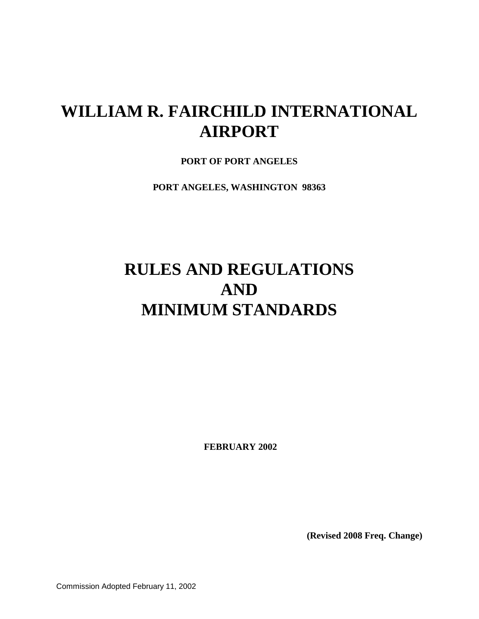# **WILLIAM R. FAIRCHILD INTERNATIONAL AIRPORT**

**PORT OF PORT ANGELES**

**PORT ANGELES, WASHINGTON 98363**

# **RULES AND REGULATIONS AND MINIMUM STANDARDS**

**FEBRUARY 2002**

**(Revised 2008 Freq. Change)**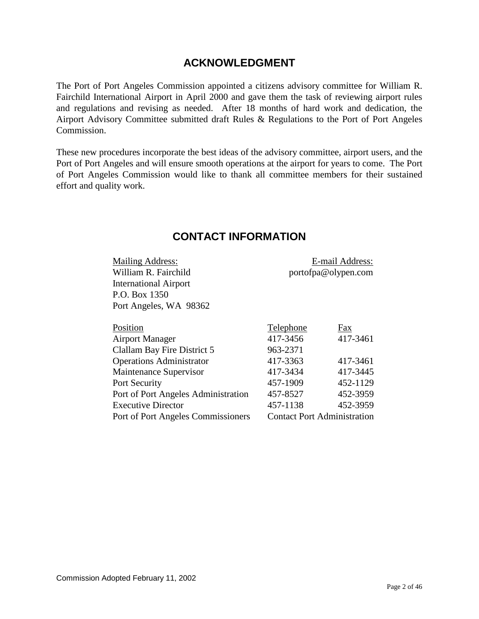## **ACKNOWLEDGMENT**

<span id="page-1-0"></span>The Port of Port Angeles Commission appointed a citizens advisory committee for William R. Fairchild International Airport in April 2000 and gave them the task of reviewing airport rules and regulations and revising as needed. After 18 months of hard work and dedication, the Airport Advisory Committee submitted draft Rules & Regulations to the Port of Port Angeles Commission.

These new procedures incorporate the best ideas of the advisory committee, airport users, and the Port of Port Angeles and will ensure smooth operations at the airport for years to come. The Port of Port Angeles Commission would like to thank all committee members for their sustained effort and quality work.

<span id="page-1-1"></span>

| <b>Mailing Address:</b>             |                                    | E-mail Address: |
|-------------------------------------|------------------------------------|-----------------|
| William R. Fairchild                | portofpa@olypen.com                |                 |
| <b>International Airport</b>        |                                    |                 |
| P.O. Box 1350                       |                                    |                 |
| Port Angeles, WA 98362              |                                    |                 |
| Position                            |                                    |                 |
|                                     | <b>Telephone</b>                   | Fax             |
| <b>Airport Manager</b>              | 417-3456                           | 417-3461        |
| Clallam Bay Fire District 5         | 963-2371                           |                 |
| <b>Operations Administrator</b>     | 417-3363                           | 417-3461        |
| Maintenance Supervisor              | 417-3434                           | 417-3445        |
| Port Security                       | 457-1909                           | 452-1129        |
| Port of Port Angeles Administration | 457-8527                           | 452-3959        |
| <b>Executive Director</b>           | 457-1138                           | 452-3959        |
| Port of Port Angeles Commissioners  | <b>Contact Port Administration</b> |                 |

## **CONTACT INFORMATION**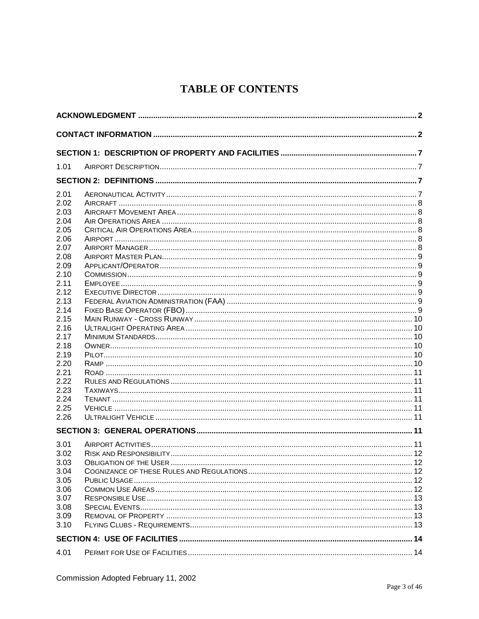# **TABLE OF CONTENTS**

| 1.01         |  |  |
|--------------|--|--|
|              |  |  |
| 2.01         |  |  |
| 2.02         |  |  |
| 2.03         |  |  |
| 2.04         |  |  |
| 2.05         |  |  |
| 2.06         |  |  |
| 2.07         |  |  |
| 2.08         |  |  |
| 2.09<br>2.10 |  |  |
| 2.11         |  |  |
| 2.12         |  |  |
| 2.13         |  |  |
| 2.14         |  |  |
| 2.15         |  |  |
| 2.16         |  |  |
| 2.17         |  |  |
| 2.18         |  |  |
| 2.19         |  |  |
| 2.20         |  |  |
| 2.21         |  |  |
| 2.22         |  |  |
| 2.23         |  |  |
| 2.24         |  |  |
| 2.25         |  |  |
| 2.26         |  |  |
|              |  |  |
| 3.01         |  |  |
| 3.02         |  |  |
| 3.03         |  |  |
| 3.04         |  |  |
| 3.05         |  |  |
| 3.06         |  |  |
| 3.07         |  |  |
| 3.08         |  |  |
| 3.09         |  |  |
| 3.10         |  |  |
|              |  |  |
| 4.01         |  |  |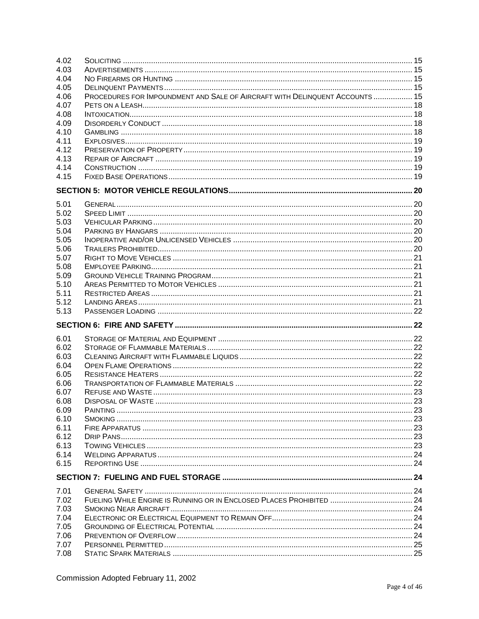| 4.02 |                                                                              |  |
|------|------------------------------------------------------------------------------|--|
| 4.03 |                                                                              |  |
| 4.04 |                                                                              |  |
| 4.05 |                                                                              |  |
| 4.06 | PROCEDURES FOR IMPOUNDMENT AND SALE OF AIRCRAFT WITH DELINQUENT ACCOUNTS  15 |  |
| 4.07 |                                                                              |  |
| 4.08 |                                                                              |  |
| 4.09 |                                                                              |  |
| 4.10 |                                                                              |  |
| 4.11 |                                                                              |  |
| 4.12 |                                                                              |  |
| 4.13 |                                                                              |  |
| 4.14 |                                                                              |  |
| 4.15 |                                                                              |  |
|      |                                                                              |  |
|      |                                                                              |  |
| 5.01 |                                                                              |  |
| 5.02 |                                                                              |  |
| 5.03 |                                                                              |  |
| 5.04 |                                                                              |  |
| 5.05 |                                                                              |  |
| 5.06 |                                                                              |  |
| 5.07 |                                                                              |  |
| 5.08 |                                                                              |  |
| 5.09 |                                                                              |  |
| 5.10 |                                                                              |  |
| 5.11 |                                                                              |  |
| 5.12 |                                                                              |  |
| 5.13 |                                                                              |  |
|      |                                                                              |  |
|      |                                                                              |  |
| 6.01 |                                                                              |  |
| 6.02 |                                                                              |  |
| 6.03 |                                                                              |  |
| 6.04 |                                                                              |  |
| 6.05 |                                                                              |  |
| 6.06 |                                                                              |  |
| 6.07 |                                                                              |  |
| 6.08 |                                                                              |  |
| 6.09 |                                                                              |  |
| 6.10 |                                                                              |  |
| 6.11 |                                                                              |  |
| 6.12 |                                                                              |  |
| 6.13 |                                                                              |  |
| 6.14 |                                                                              |  |
| 6.15 |                                                                              |  |
|      |                                                                              |  |
| 7.01 |                                                                              |  |
| 7.02 |                                                                              |  |
| 7.03 |                                                                              |  |
| 7.04 |                                                                              |  |
| 7.05 |                                                                              |  |
| 7.06 |                                                                              |  |
| 7.07 |                                                                              |  |
|      |                                                                              |  |
| 7.08 |                                                                              |  |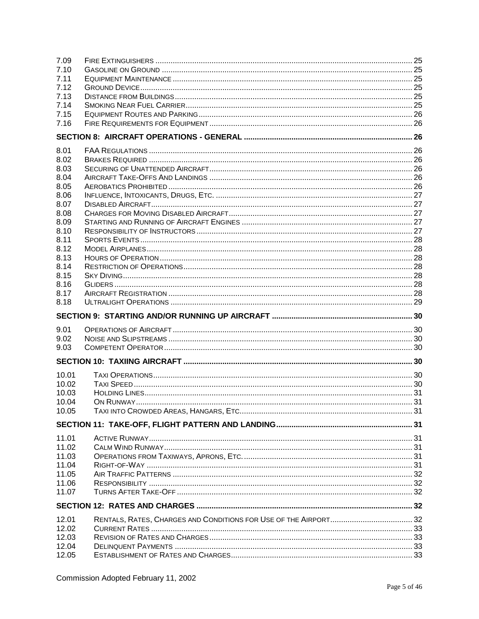| 7.09           |  |
|----------------|--|
| 7.10           |  |
| 7.11           |  |
| 7.12           |  |
| 7.13           |  |
| 7.14           |  |
| 7.15           |  |
| 7.16           |  |
|                |  |
| 8.01           |  |
| 8.02           |  |
| 8.03           |  |
| 8.04           |  |
| 8.05           |  |
| 8.06           |  |
|                |  |
| 8.07           |  |
| 8.08           |  |
| 8.09           |  |
| 8.10           |  |
| 8.11           |  |
| 8.12           |  |
| 8.13           |  |
| 8.14           |  |
| 8.15           |  |
| 8.16           |  |
| 8.17           |  |
| 8.18           |  |
|                |  |
|                |  |
|                |  |
| 9.01<br>9.02   |  |
| 9.03           |  |
|                |  |
|                |  |
| 10.01          |  |
| 10.02          |  |
| 10.03          |  |
| 10.04          |  |
| 10.05          |  |
|                |  |
|                |  |
| 11.01          |  |
| 11.02          |  |
| 11.03          |  |
| 11.04          |  |
| 11.05          |  |
| 11.06          |  |
| 11.07          |  |
|                |  |
| 12.01          |  |
| 12.02          |  |
| 12.03          |  |
| 12.04<br>12.05 |  |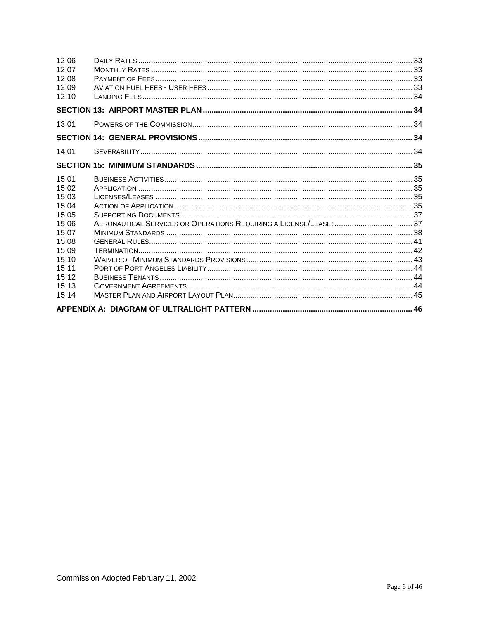| 14.01<br>15.01 | 12.06<br>12.07<br>12.08<br>12.09<br>12.10                                                                |  |
|----------------|----------------------------------------------------------------------------------------------------------|--|
|                |                                                                                                          |  |
|                | 13.01                                                                                                    |  |
|                |                                                                                                          |  |
|                |                                                                                                          |  |
|                |                                                                                                          |  |
|                | 15.02<br>15.03<br>15.04<br>15.05<br>15.06<br>15.07<br>15.08<br>15.09<br>15.10<br>15.11<br>15.12<br>15.13 |  |
|                | 15.14                                                                                                    |  |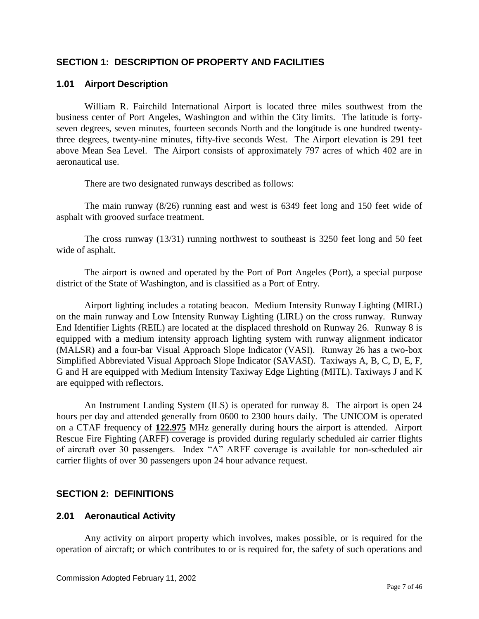## <span id="page-6-0"></span>**SECTION 1: DESCRIPTION OF PROPERTY AND FACILITIES**

## <span id="page-6-1"></span>**1.01 Airport Description**

William R. Fairchild International Airport is located three miles southwest from the business center of Port Angeles, Washington and within the City limits. The latitude is fortyseven degrees, seven minutes, fourteen seconds North and the longitude is one hundred twentythree degrees, twenty-nine minutes, fifty-five seconds West. The Airport elevation is 291 feet above Mean Sea Level. The Airport consists of approximately 797 acres of which 402 are in aeronautical use.

There are two designated runways described as follows:

The main runway (8/26) running east and west is 6349 feet long and 150 feet wide of asphalt with grooved surface treatment.

The cross runway (13/31) running northwest to southeast is 3250 feet long and 50 feet wide of asphalt.

The airport is owned and operated by the Port of Port Angeles (Port), a special purpose district of the State of Washington, and is classified as a Port of Entry.

Airport lighting includes a rotating beacon. Medium Intensity Runway Lighting (MIRL) on the main runway and Low Intensity Runway Lighting (LIRL) on the cross runway. Runway End Identifier Lights (REIL) are located at the displaced threshold on Runway 26. Runway 8 is equipped with a medium intensity approach lighting system with runway alignment indicator (MALSR) and a four-bar Visual Approach Slope Indicator (VASI). Runway 26 has a two-box Simplified Abbreviated Visual Approach Slope Indicator (SAVASI). Taxiways A, B, C, D, E, F, G and H are equipped with Medium Intensity Taxiway Edge Lighting (MITL). Taxiways J and K are equipped with reflectors.

An Instrument Landing System (ILS) is operated for runway 8. The airport is open 24 hours per day and attended generally from 0600 to 2300 hours daily. The UNICOM is operated on a CTAF frequency of **122.975** MHz generally during hours the airport is attended. Airport Rescue Fire Fighting (ARFF) coverage is provided during regularly scheduled air carrier flights of aircraft over 30 passengers. Index "A" ARFF coverage is available for non-scheduled air carrier flights of over 30 passengers upon 24 hour advance request.

## <span id="page-6-2"></span>**SECTION 2: DEFINITIONS**

#### <span id="page-6-3"></span>**2.01 Aeronautical Activity**

Any activity on airport property which involves, makes possible, or is required for the operation of aircraft; or which contributes to or is required for, the safety of such operations and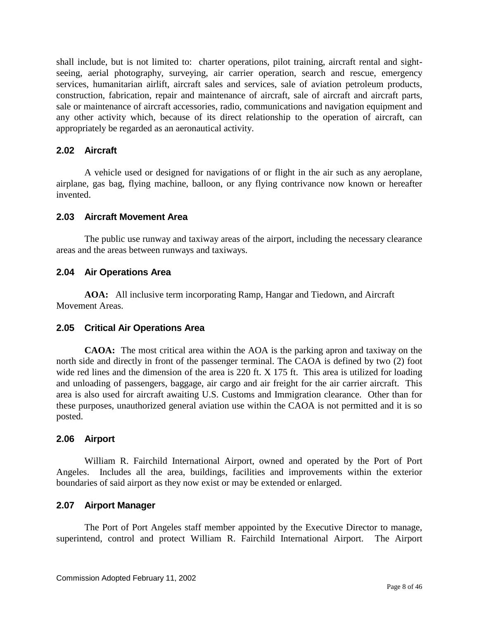shall include, but is not limited to: charter operations, pilot training, aircraft rental and sightseeing, aerial photography, surveying, air carrier operation, search and rescue, emergency services, humanitarian airlift, aircraft sales and services, sale of aviation petroleum products, construction, fabrication, repair and maintenance of aircraft, sale of aircraft and aircraft parts, sale or maintenance of aircraft accessories, radio, communications and navigation equipment and any other activity which, because of its direct relationship to the operation of aircraft, can appropriately be regarded as an aeronautical activity.

## <span id="page-7-0"></span>**2.02 Aircraft**

A vehicle used or designed for navigations of or flight in the air such as any aeroplane, airplane, gas bag, flying machine, balloon, or any flying contrivance now known or hereafter invented.

## <span id="page-7-1"></span>**2.03 Aircraft Movement Area**

The public use runway and taxiway areas of the airport, including the necessary clearance areas and the areas between runways and taxiways.

## <span id="page-7-2"></span>**2.04 Air Operations Area**

**AOA:** All inclusive term incorporating Ramp, Hangar and Tiedown, and Aircraft Movement Areas.

## <span id="page-7-3"></span>**2.05 Critical Air Operations Area**

**CAOA:** The most critical area within the AOA is the parking apron and taxiway on the north side and directly in front of the passenger terminal. The CAOA is defined by two (2) foot wide red lines and the dimension of the area is 220 ft. X 175 ft. This area is utilized for loading and unloading of passengers, baggage, air cargo and air freight for the air carrier aircraft. This area is also used for aircraft awaiting U.S. Customs and Immigration clearance. Other than for these purposes, unauthorized general aviation use within the CAOA is not permitted and it is so posted.

#### <span id="page-7-4"></span>**2.06 Airport**

William R. Fairchild International Airport, owned and operated by the Port of Port Angeles. Includes all the area, buildings, facilities and improvements within the exterior boundaries of said airport as they now exist or may be extended or enlarged.

#### <span id="page-7-5"></span>**2.07 Airport Manager**

The Port of Port Angeles staff member appointed by the Executive Director to manage, superintend, control and protect William R. Fairchild International Airport. The Airport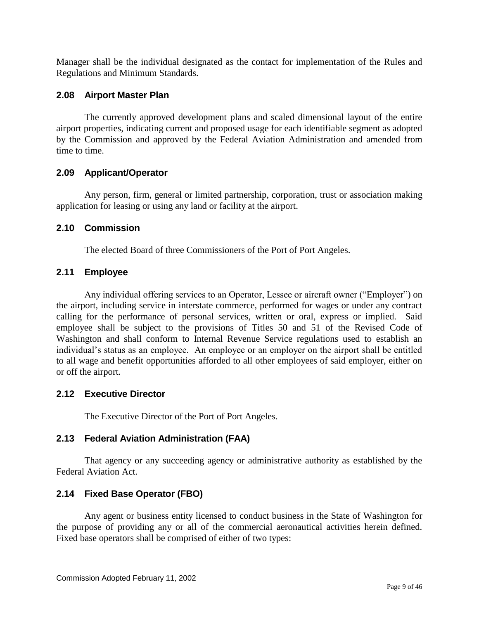Manager shall be the individual designated as the contact for implementation of the Rules and Regulations and Minimum Standards.

## <span id="page-8-0"></span>**2.08 Airport Master Plan**

The currently approved development plans and scaled dimensional layout of the entire airport properties, indicating current and proposed usage for each identifiable segment as adopted by the Commission and approved by the Federal Aviation Administration and amended from time to time.

## <span id="page-8-1"></span>**2.09 Applicant/Operator**

Any person, firm, general or limited partnership, corporation, trust or association making application for leasing or using any land or facility at the airport.

## <span id="page-8-2"></span>**2.10 Commission**

The elected Board of three Commissioners of the Port of Port Angeles.

## <span id="page-8-3"></span>**2.11 Employee**

Any individual offering services to an Operator, Lessee or aircraft owner ("Employer") on the airport, including service in interstate commerce, performed for wages or under any contract calling for the performance of personal services, written or oral, express or implied. Said employee shall be subject to the provisions of Titles 50 and 51 of the Revised Code of Washington and shall conform to Internal Revenue Service regulations used to establish an individual's status as an employee. An employee or an employer on the airport shall be entitled to all wage and benefit opportunities afforded to all other employees of said employer, either on or off the airport.

## <span id="page-8-4"></span>**2.12 Executive Director**

The Executive Director of the Port of Port Angeles.

## <span id="page-8-5"></span>**2.13 Federal Aviation Administration (FAA)**

That agency or any succeeding agency or administrative authority as established by the Federal Aviation Act.

## <span id="page-8-6"></span>**2.14 Fixed Base Operator (FBO)**

Any agent or business entity licensed to conduct business in the State of Washington for the purpose of providing any or all of the commercial aeronautical activities herein defined. Fixed base operators shall be comprised of either of two types: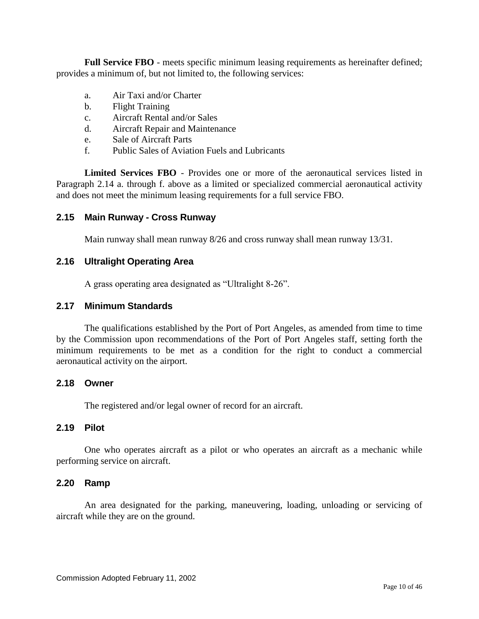Full Service FBO - meets specific minimum leasing requirements as hereinafter defined; provides a minimum of, but not limited to, the following services:

- a. Air Taxi and/or Charter
- b. Flight Training
- c. Aircraft Rental and/or Sales
- d. Aircraft Repair and Maintenance
- e. Sale of Aircraft Parts
- f. Public Sales of Aviation Fuels and Lubricants

**Limited Services FBO** - Provides one or more of the aeronautical services listed in Paragraph 2.14 a. through f. above as a limited or specialized commercial aeronautical activity and does not meet the minimum leasing requirements for a full service FBO.

## <span id="page-9-0"></span>**2.15 Main Runway - Cross Runway**

Main runway shall mean runway 8/26 and cross runway shall mean runway 13/31.

#### <span id="page-9-1"></span>**2.16 Ultralight Operating Area**

A grass operating area designated as "Ultralight 8-26".

#### <span id="page-9-2"></span>**2.17 Minimum Standards**

The qualifications established by the Port of Port Angeles, as amended from time to time by the Commission upon recommendations of the Port of Port Angeles staff, setting forth the minimum requirements to be met as a condition for the right to conduct a commercial aeronautical activity on the airport.

#### <span id="page-9-3"></span>**2.18 Owner**

The registered and/or legal owner of record for an aircraft.

#### <span id="page-9-4"></span>**2.19 Pilot**

One who operates aircraft as a pilot or who operates an aircraft as a mechanic while performing service on aircraft.

#### <span id="page-9-5"></span>**2.20 Ramp**

An area designated for the parking, maneuvering, loading, unloading or servicing of aircraft while they are on the ground.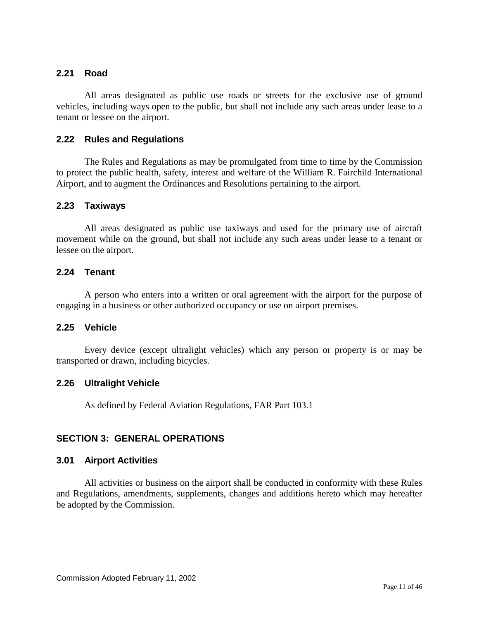## <span id="page-10-0"></span>**2.21 Road**

All areas designated as public use roads or streets for the exclusive use of ground vehicles, including ways open to the public, but shall not include any such areas under lease to a tenant or lessee on the airport.

#### <span id="page-10-1"></span>**2.22 Rules and Regulations**

The Rules and Regulations as may be promulgated from time to time by the Commission to protect the public health, safety, interest and welfare of the William R. Fairchild International Airport, and to augment the Ordinances and Resolutions pertaining to the airport.

#### <span id="page-10-2"></span>**2.23 Taxiways**

All areas designated as public use taxiways and used for the primary use of aircraft movement while on the ground, but shall not include any such areas under lease to a tenant or lessee on the airport.

## <span id="page-10-3"></span>**2.24 Tenant**

A person who enters into a written or oral agreement with the airport for the purpose of engaging in a business or other authorized occupancy or use on airport premises.

#### <span id="page-10-4"></span>**2.25 Vehicle**

Every device (except ultralight vehicles) which any person or property is or may be transported or drawn, including bicycles.

#### <span id="page-10-5"></span>**2.26 Ultralight Vehicle**

As defined by Federal Aviation Regulations, FAR Part 103.1

## <span id="page-10-6"></span>**SECTION 3: GENERAL OPERATIONS**

#### <span id="page-10-7"></span>**3.01 Airport Activities**

All activities or business on the airport shall be conducted in conformity with these Rules and Regulations, amendments, supplements, changes and additions hereto which may hereafter be adopted by the Commission.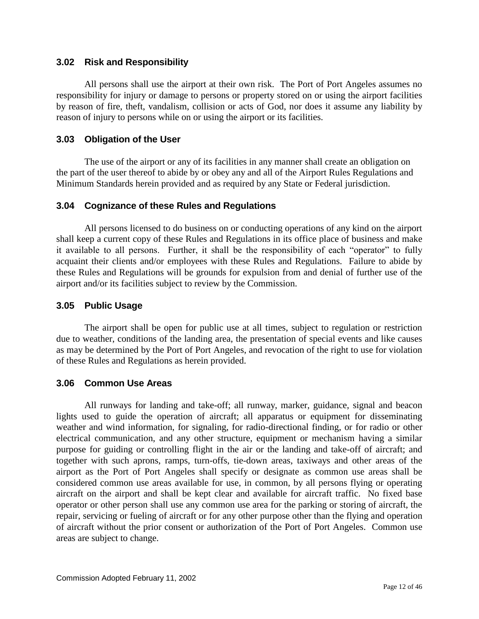#### <span id="page-11-0"></span>**3.02 Risk and Responsibility**

All persons shall use the airport at their own risk. The Port of Port Angeles assumes no responsibility for injury or damage to persons or property stored on or using the airport facilities by reason of fire, theft, vandalism, collision or acts of God, nor does it assume any liability by reason of injury to persons while on or using the airport or its facilities.

## <span id="page-11-1"></span>**3.03 Obligation of the User**

The use of the airport or any of its facilities in any manner shall create an obligation on the part of the user thereof to abide by or obey any and all of the Airport Rules Regulations and Minimum Standards herein provided and as required by any State or Federal jurisdiction.

## <span id="page-11-2"></span>**3.04 Cognizance of these Rules and Regulations**

All persons licensed to do business on or conducting operations of any kind on the airport shall keep a current copy of these Rules and Regulations in its office place of business and make it available to all persons. Further, it shall be the responsibility of each "operator" to fully acquaint their clients and/or employees with these Rules and Regulations. Failure to abide by these Rules and Regulations will be grounds for expulsion from and denial of further use of the airport and/or its facilities subject to review by the Commission.

## <span id="page-11-3"></span>**3.05 Public Usage**

The airport shall be open for public use at all times, subject to regulation or restriction due to weather, conditions of the landing area, the presentation of special events and like causes as may be determined by the Port of Port Angeles, and revocation of the right to use for violation of these Rules and Regulations as herein provided.

#### <span id="page-11-4"></span>**3.06 Common Use Areas**

All runways for landing and take-off; all runway, marker, guidance, signal and beacon lights used to guide the operation of aircraft; all apparatus or equipment for disseminating weather and wind information, for signaling, for radio-directional finding, or for radio or other electrical communication, and any other structure, equipment or mechanism having a similar purpose for guiding or controlling flight in the air or the landing and take-off of aircraft; and together with such aprons, ramps, turn-offs, tie-down areas, taxiways and other areas of the airport as the Port of Port Angeles shall specify or designate as common use areas shall be considered common use areas available for use, in common, by all persons flying or operating aircraft on the airport and shall be kept clear and available for aircraft traffic. No fixed base operator or other person shall use any common use area for the parking or storing of aircraft, the repair, servicing or fueling of aircraft or for any other purpose other than the flying and operation of aircraft without the prior consent or authorization of the Port of Port Angeles. Common use areas are subject to change.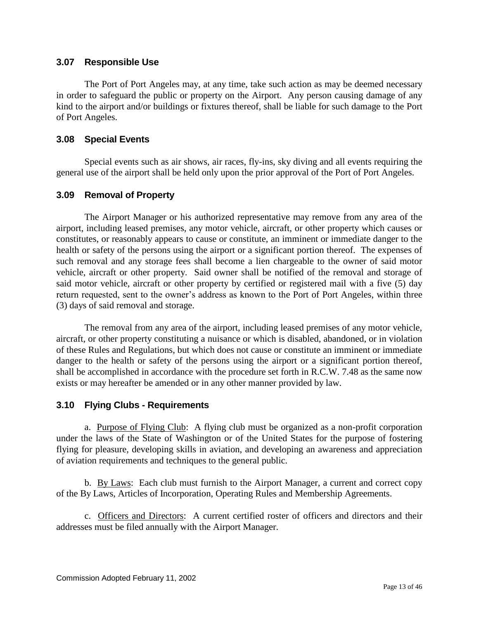## <span id="page-12-0"></span>**3.07 Responsible Use**

The Port of Port Angeles may, at any time, take such action as may be deemed necessary in order to safeguard the public or property on the Airport. Any person causing damage of any kind to the airport and/or buildings or fixtures thereof, shall be liable for such damage to the Port of Port Angeles.

## <span id="page-12-1"></span>**3.08 Special Events**

Special events such as air shows, air races, fly-ins, sky diving and all events requiring the general use of the airport shall be held only upon the prior approval of the Port of Port Angeles.

## <span id="page-12-2"></span>**3.09 Removal of Property**

The Airport Manager or his authorized representative may remove from any area of the airport, including leased premises, any motor vehicle, aircraft, or other property which causes or constitutes, or reasonably appears to cause or constitute, an imminent or immediate danger to the health or safety of the persons using the airport or a significant portion thereof. The expenses of such removal and any storage fees shall become a lien chargeable to the owner of said motor vehicle, aircraft or other property. Said owner shall be notified of the removal and storage of said motor vehicle, aircraft or other property by certified or registered mail with a five (5) day return requested, sent to the owner's address as known to the Port of Port Angeles, within three (3) days of said removal and storage.

The removal from any area of the airport, including leased premises of any motor vehicle, aircraft, or other property constituting a nuisance or which is disabled, abandoned, or in violation of these Rules and Regulations, but which does not cause or constitute an imminent or immediate danger to the health or safety of the persons using the airport or a significant portion thereof, shall be accomplished in accordance with the procedure set forth in R.C.W. 7.48 as the same now exists or may hereafter be amended or in any other manner provided by law.

## <span id="page-12-3"></span>**3.10 Flying Clubs - Requirements**

a. Purpose of Flying Club: A flying club must be organized as a non-profit corporation under the laws of the State of Washington or of the United States for the purpose of fostering flying for pleasure, developing skills in aviation, and developing an awareness and appreciation of aviation requirements and techniques to the general public.

b. By Laws: Each club must furnish to the Airport Manager, a current and correct copy of the By Laws, Articles of Incorporation, Operating Rules and Membership Agreements.

c. Officers and Directors: A current certified roster of officers and directors and their addresses must be filed annually with the Airport Manager.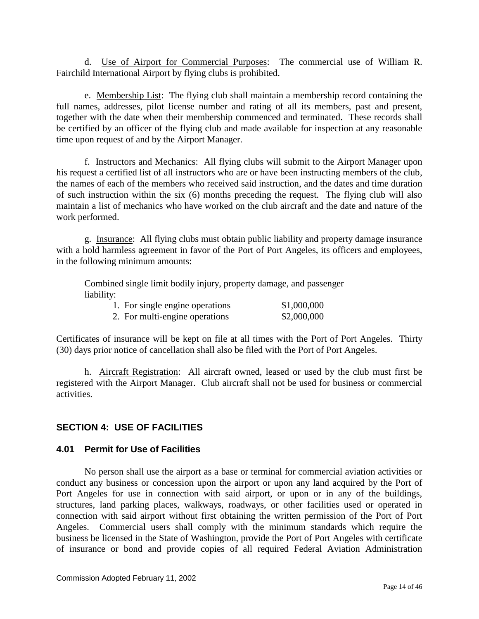d. Use of Airport for Commercial Purposes: The commercial use of William R. Fairchild International Airport by flying clubs is prohibited.

e. Membership List: The flying club shall maintain a membership record containing the full names, addresses, pilot license number and rating of all its members, past and present, together with the date when their membership commenced and terminated. These records shall be certified by an officer of the flying club and made available for inspection at any reasonable time upon request of and by the Airport Manager.

f. Instructors and Mechanics: All flying clubs will submit to the Airport Manager upon his request a certified list of all instructors who are or have been instructing members of the club, the names of each of the members who received said instruction, and the dates and time duration of such instruction within the six (6) months preceding the request. The flying club will also maintain a list of mechanics who have worked on the club aircraft and the date and nature of the work performed.

g. Insurance: All flying clubs must obtain public liability and property damage insurance with a hold harmless agreement in favor of the Port of Port Angeles, its officers and employees, in the following minimum amounts:

Combined single limit bodily injury, property damage, and passenger liability:

| 1. For single engine operations | \$1,000,000 |
|---------------------------------|-------------|
| 2. For multi-engine operations  | \$2,000,000 |

Certificates of insurance will be kept on file at all times with the Port of Port Angeles. Thirty (30) days prior notice of cancellation shall also be filed with the Port of Port Angeles.

h. Aircraft Registration: All aircraft owned, leased or used by the club must first be registered with the Airport Manager. Club aircraft shall not be used for business or commercial activities.

## <span id="page-13-0"></span>**SECTION 4: USE OF FACILITIES**

## <span id="page-13-1"></span>**4.01 Permit for Use of Facilities**

No person shall use the airport as a base or terminal for commercial aviation activities or conduct any business or concession upon the airport or upon any land acquired by the Port of Port Angeles for use in connection with said airport, or upon or in any of the buildings, structures, land parking places, walkways, roadways, or other facilities used or operated in connection with said airport without first obtaining the written permission of the Port of Port Angeles. Commercial users shall comply with the minimum standards which require the business be licensed in the State of Washington, provide the Port of Port Angeles with certificate of insurance or bond and provide copies of all required Federal Aviation Administration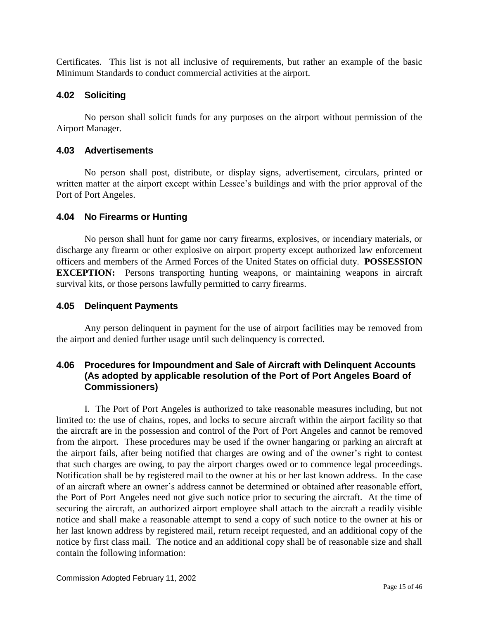Certificates. This list is not all inclusive of requirements, but rather an example of the basic Minimum Standards to conduct commercial activities at the airport.

## <span id="page-14-0"></span>**4.02 Soliciting**

No person shall solicit funds for any purposes on the airport without permission of the Airport Manager.

## <span id="page-14-1"></span>**4.03 Advertisements**

No person shall post, distribute, or display signs, advertisement, circulars, printed or written matter at the airport except within Lessee's buildings and with the prior approval of the Port of Port Angeles.

## <span id="page-14-2"></span>**4.04 No Firearms or Hunting**

No person shall hunt for game nor carry firearms, explosives, or incendiary materials, or discharge any firearm or other explosive on airport property except authorized law enforcement officers and members of the Armed Forces of the United States on official duty. **POSSESSION EXCEPTION:** Persons transporting hunting weapons, or maintaining weapons in aircraft survival kits, or those persons lawfully permitted to carry firearms.

## <span id="page-14-3"></span>**4.05 Delinquent Payments**

Any person delinquent in payment for the use of airport facilities may be removed from the airport and denied further usage until such delinquency is corrected.

## <span id="page-14-4"></span>**4.06 Procedures for Impoundment and Sale of Aircraft with Delinquent Accounts (As adopted by applicable resolution of the Port of Port Angeles Board of Commissioners)**

I. The Port of Port Angeles is authorized to take reasonable measures including, but not limited to: the use of chains, ropes, and locks to secure aircraft within the airport facility so that the aircraft are in the possession and control of the Port of Port Angeles and cannot be removed from the airport. These procedures may be used if the owner hangaring or parking an aircraft at the airport fails, after being notified that charges are owing and of the owner's right to contest that such charges are owing, to pay the airport charges owed or to commence legal proceedings. Notification shall be by registered mail to the owner at his or her last known address. In the case of an aircraft where an owner's address cannot be determined or obtained after reasonable effort, the Port of Port Angeles need not give such notice prior to securing the aircraft. At the time of securing the aircraft, an authorized airport employee shall attach to the aircraft a readily visible notice and shall make a reasonable attempt to send a copy of such notice to the owner at his or her last known address by registered mail, return receipt requested, and an additional copy of the notice by first class mail. The notice and an additional copy shall be of reasonable size and shall contain the following information: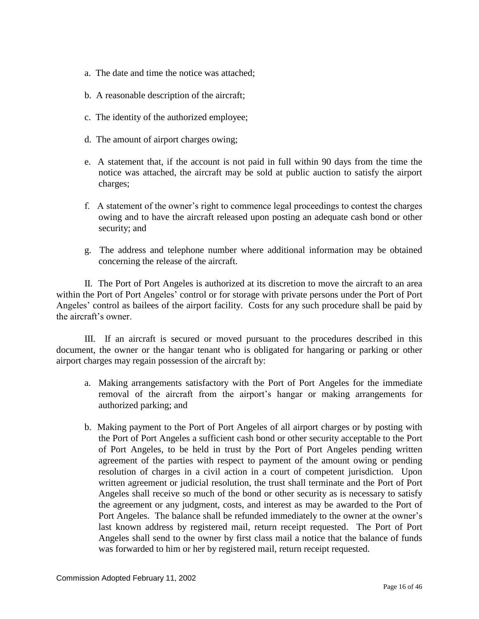- a. The date and time the notice was attached;
- b. A reasonable description of the aircraft;
- c. The identity of the authorized employee;
- d. The amount of airport charges owing;
- e. A statement that, if the account is not paid in full within 90 days from the time the notice was attached, the aircraft may be sold at public auction to satisfy the airport charges;
- f. A statement of the owner's right to commence legal proceedings to contest the charges owing and to have the aircraft released upon posting an adequate cash bond or other security; and
- g. The address and telephone number where additional information may be obtained concerning the release of the aircraft.

II. The Port of Port Angeles is authorized at its discretion to move the aircraft to an area within the Port of Port Angeles' control or for storage with private persons under the Port of Port Angeles' control as bailees of the airport facility. Costs for any such procedure shall be paid by the aircraft's owner.

III. If an aircraft is secured or moved pursuant to the procedures described in this document, the owner or the hangar tenant who is obligated for hangaring or parking or other airport charges may regain possession of the aircraft by:

- a. Making arrangements satisfactory with the Port of Port Angeles for the immediate removal of the aircraft from the airport's hangar or making arrangements for authorized parking; and
- b. Making payment to the Port of Port Angeles of all airport charges or by posting with the Port of Port Angeles a sufficient cash bond or other security acceptable to the Port of Port Angeles, to be held in trust by the Port of Port Angeles pending written agreement of the parties with respect to payment of the amount owing or pending resolution of charges in a civil action in a court of competent jurisdiction. Upon written agreement or judicial resolution, the trust shall terminate and the Port of Port Angeles shall receive so much of the bond or other security as is necessary to satisfy the agreement or any judgment, costs, and interest as may be awarded to the Port of Port Angeles. The balance shall be refunded immediately to the owner at the owner's last known address by registered mail, return receipt requested. The Port of Port Angeles shall send to the owner by first class mail a notice that the balance of funds was forwarded to him or her by registered mail, return receipt requested.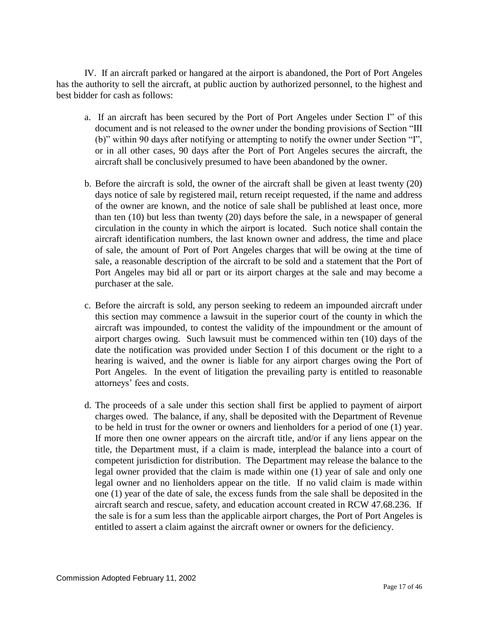IV. If an aircraft parked or hangared at the airport is abandoned, the Port of Port Angeles has the authority to sell the aircraft, at public auction by authorized personnel, to the highest and best bidder for cash as follows:

- a. If an aircraft has been secured by the Port of Port Angeles under Section I" of this document and is not released to the owner under the bonding provisions of Section "III (b)" within 90 days after notifying or attempting to notify the owner under Section "I", or in all other cases, 90 days after the Port of Port Angeles secures the aircraft, the aircraft shall be conclusively presumed to have been abandoned by the owner.
- b. Before the aircraft is sold, the owner of the aircraft shall be given at least twenty (20) days notice of sale by registered mail, return receipt requested, if the name and address of the owner are known, and the notice of sale shall be published at least once, more than ten (10) but less than twenty (20) days before the sale, in a newspaper of general circulation in the county in which the airport is located. Such notice shall contain the aircraft identification numbers, the last known owner and address, the time and place of sale, the amount of Port of Port Angeles charges that will be owing at the time of sale, a reasonable description of the aircraft to be sold and a statement that the Port of Port Angeles may bid all or part or its airport charges at the sale and may become a purchaser at the sale.
- c. Before the aircraft is sold, any person seeking to redeem an impounded aircraft under this section may commence a lawsuit in the superior court of the county in which the aircraft was impounded, to contest the validity of the impoundment or the amount of airport charges owing. Such lawsuit must be commenced within ten (10) days of the date the notification was provided under Section I of this document or the right to a hearing is waived, and the owner is liable for any airport charges owing the Port of Port Angeles. In the event of litigation the prevailing party is entitled to reasonable attorneys' fees and costs.
- d. The proceeds of a sale under this section shall first be applied to payment of airport charges owed. The balance, if any, shall be deposited with the Department of Revenue to be held in trust for the owner or owners and lienholders for a period of one (1) year. If more then one owner appears on the aircraft title, and/or if any liens appear on the title, the Department must, if a claim is made, interplead the balance into a court of competent jurisdiction for distribution. The Department may release the balance to the legal owner provided that the claim is made within one (1) year of sale and only one legal owner and no lienholders appear on the title. If no valid claim is made within one (1) year of the date of sale, the excess funds from the sale shall be deposited in the aircraft search and rescue, safety, and education account created in RCW 47.68.236. If the sale is for a sum less than the applicable airport charges, the Port of Port Angeles is entitled to assert a claim against the aircraft owner or owners for the deficiency.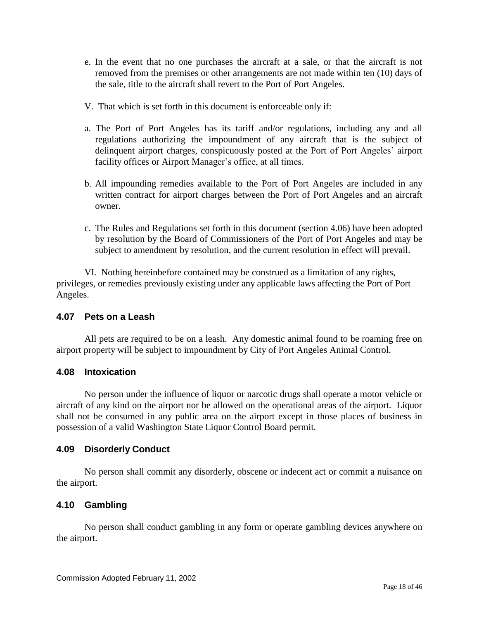- e. In the event that no one purchases the aircraft at a sale, or that the aircraft is not removed from the premises or other arrangements are not made within ten (10) days of the sale, title to the aircraft shall revert to the Port of Port Angeles.
- V. That which is set forth in this document is enforceable only if:
- a. The Port of Port Angeles has its tariff and/or regulations, including any and all regulations authorizing the impoundment of any aircraft that is the subject of delinquent airport charges, conspicuously posted at the Port of Port Angeles' airport facility offices or Airport Manager's office, at all times.
- b. All impounding remedies available to the Port of Port Angeles are included in any written contract for airport charges between the Port of Port Angeles and an aircraft owner.
- c. The Rules and Regulations set forth in this document (section 4.06) have been adopted by resolution by the Board of Commissioners of the Port of Port Angeles and may be subject to amendment by resolution, and the current resolution in effect will prevail.

VI. Nothing hereinbefore contained may be construed as a limitation of any rights, privileges, or remedies previously existing under any applicable laws affecting the Port of Port Angeles.

## <span id="page-17-0"></span>**4.07 Pets on a Leash**

All pets are required to be on a leash. Any domestic animal found to be roaming free on airport property will be subject to impoundment by City of Port Angeles Animal Control.

## <span id="page-17-1"></span>**4.08 Intoxication**

No person under the influence of liquor or narcotic drugs shall operate a motor vehicle or aircraft of any kind on the airport nor be allowed on the operational areas of the airport. Liquor shall not be consumed in any public area on the airport except in those places of business in possession of a valid Washington State Liquor Control Board permit.

## <span id="page-17-2"></span>**4.09 Disorderly Conduct**

No person shall commit any disorderly, obscene or indecent act or commit a nuisance on the airport.

## <span id="page-17-3"></span>**4.10 Gambling**

No person shall conduct gambling in any form or operate gambling devices anywhere on the airport.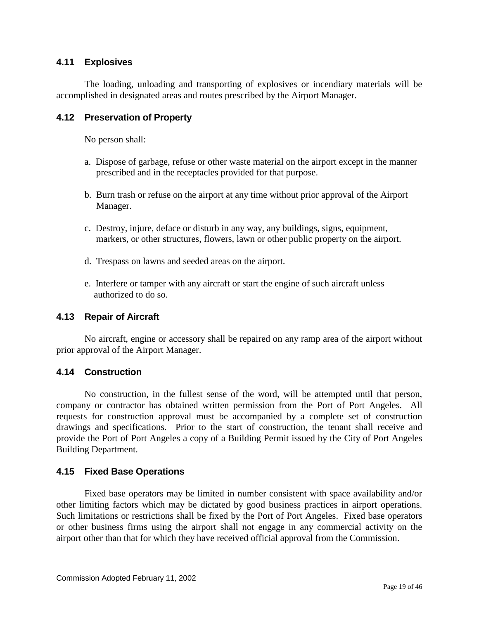## <span id="page-18-0"></span>**4.11 Explosives**

The loading, unloading and transporting of explosives or incendiary materials will be accomplished in designated areas and routes prescribed by the Airport Manager.

## <span id="page-18-1"></span>**4.12 Preservation of Property**

No person shall:

- a. Dispose of garbage, refuse or other waste material on the airport except in the manner prescribed and in the receptacles provided for that purpose.
- b. Burn trash or refuse on the airport at any time without prior approval of the Airport Manager.
- c. Destroy, injure, deface or disturb in any way, any buildings, signs, equipment, markers, or other structures, flowers, lawn or other public property on the airport.
- d. Trespass on lawns and seeded areas on the airport.
- e. Interfere or tamper with any aircraft or start the engine of such aircraft unless authorized to do so.

## <span id="page-18-2"></span>**4.13 Repair of Aircraft**

No aircraft, engine or accessory shall be repaired on any ramp area of the airport without prior approval of the Airport Manager.

## <span id="page-18-3"></span>**4.14 Construction**

No construction, in the fullest sense of the word, will be attempted until that person, company or contractor has obtained written permission from the Port of Port Angeles. All requests for construction approval must be accompanied by a complete set of construction drawings and specifications. Prior to the start of construction, the tenant shall receive and provide the Port of Port Angeles a copy of a Building Permit issued by the City of Port Angeles Building Department.

## <span id="page-18-4"></span>**4.15 Fixed Base Operations**

Fixed base operators may be limited in number consistent with space availability and/or other limiting factors which may be dictated by good business practices in airport operations. Such limitations or restrictions shall be fixed by the Port of Port Angeles. Fixed base operators or other business firms using the airport shall not engage in any commercial activity on the airport other than that for which they have received official approval from the Commission.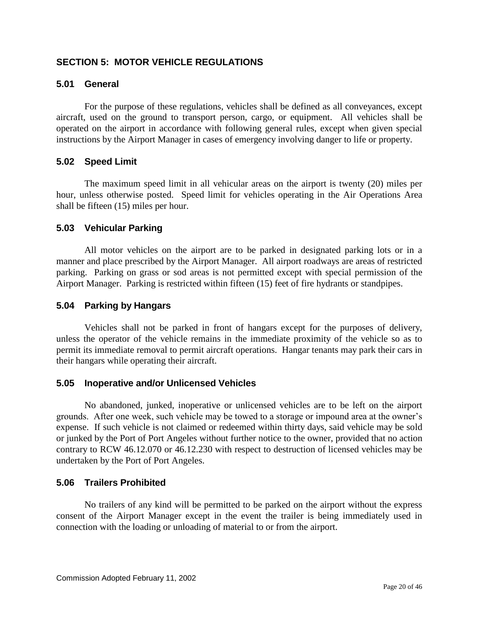## <span id="page-19-0"></span>**SECTION 5: MOTOR VEHICLE REGULATIONS**

## <span id="page-19-1"></span>**5.01 General**

For the purpose of these regulations, vehicles shall be defined as all conveyances, except aircraft, used on the ground to transport person, cargo, or equipment. All vehicles shall be operated on the airport in accordance with following general rules, except when given special instructions by the Airport Manager in cases of emergency involving danger to life or property.

## <span id="page-19-2"></span>**5.02 Speed Limit**

The maximum speed limit in all vehicular areas on the airport is twenty (20) miles per hour, unless otherwise posted. Speed limit for vehicles operating in the Air Operations Area shall be fifteen (15) miles per hour.

## <span id="page-19-3"></span>**5.03 Vehicular Parking**

All motor vehicles on the airport are to be parked in designated parking lots or in a manner and place prescribed by the Airport Manager. All airport roadways are areas of restricted parking. Parking on grass or sod areas is not permitted except with special permission of the Airport Manager. Parking is restricted within fifteen (15) feet of fire hydrants or standpipes.

## <span id="page-19-4"></span>**5.04 Parking by Hangars**

Vehicles shall not be parked in front of hangars except for the purposes of delivery, unless the operator of the vehicle remains in the immediate proximity of the vehicle so as to permit its immediate removal to permit aircraft operations. Hangar tenants may park their cars in their hangars while operating their aircraft.

#### <span id="page-19-5"></span>**5.05 Inoperative and/or Unlicensed Vehicles**

No abandoned, junked, inoperative or unlicensed vehicles are to be left on the airport grounds. After one week, such vehicle may be towed to a storage or impound area at the owner's expense. If such vehicle is not claimed or redeemed within thirty days, said vehicle may be sold or junked by the Port of Port Angeles without further notice to the owner, provided that no action contrary to RCW 46.12.070 or 46.12.230 with respect to destruction of licensed vehicles may be undertaken by the Port of Port Angeles.

#### <span id="page-19-6"></span>**5.06 Trailers Prohibited**

No trailers of any kind will be permitted to be parked on the airport without the express consent of the Airport Manager except in the event the trailer is being immediately used in connection with the loading or unloading of material to or from the airport.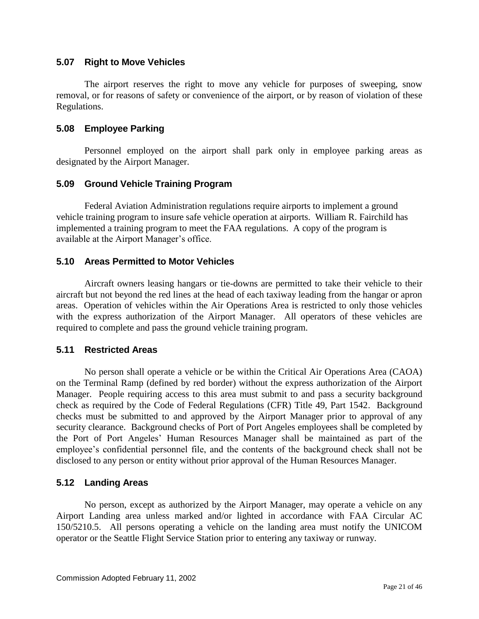#### <span id="page-20-0"></span>**5.07 Right to Move Vehicles**

The airport reserves the right to move any vehicle for purposes of sweeping, snow removal, or for reasons of safety or convenience of the airport, or by reason of violation of these Regulations.

## <span id="page-20-1"></span>**5.08 Employee Parking**

Personnel employed on the airport shall park only in employee parking areas as designated by the Airport Manager.

## <span id="page-20-2"></span>**5.09 Ground Vehicle Training Program**

Federal Aviation Administration regulations require airports to implement a ground vehicle training program to insure safe vehicle operation at airports. William R. Fairchild has implemented a training program to meet the FAA regulations. A copy of the program is available at the Airport Manager's office.

## <span id="page-20-3"></span>**5.10 Areas Permitted to Motor Vehicles**

Aircraft owners leasing hangars or tie-downs are permitted to take their vehicle to their aircraft but not beyond the red lines at the head of each taxiway leading from the hangar or apron areas. Operation of vehicles within the Air Operations Area is restricted to only those vehicles with the express authorization of the Airport Manager. All operators of these vehicles are required to complete and pass the ground vehicle training program.

#### <span id="page-20-4"></span>**5.11 Restricted Areas**

No person shall operate a vehicle or be within the Critical Air Operations Area (CAOA) on the Terminal Ramp (defined by red border) without the express authorization of the Airport Manager. People requiring access to this area must submit to and pass a security background check as required by the Code of Federal Regulations (CFR) Title 49, Part 1542. Background checks must be submitted to and approved by the Airport Manager prior to approval of any security clearance. Background checks of Port of Port Angeles employees shall be completed by the Port of Port Angeles' Human Resources Manager shall be maintained as part of the employee's confidential personnel file, and the contents of the background check shall not be disclosed to any person or entity without prior approval of the Human Resources Manager.

## <span id="page-20-5"></span>**5.12 Landing Areas**

No person, except as authorized by the Airport Manager, may operate a vehicle on any Airport Landing area unless marked and/or lighted in accordance with FAA Circular AC 150/5210.5. All persons operating a vehicle on the landing area must notify the UNICOM operator or the Seattle Flight Service Station prior to entering any taxiway or runway.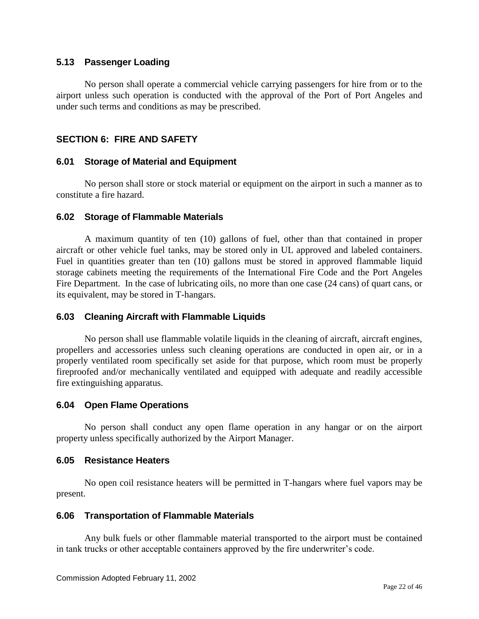#### <span id="page-21-0"></span>**5.13 Passenger Loading**

No person shall operate a commercial vehicle carrying passengers for hire from or to the airport unless such operation is conducted with the approval of the Port of Port Angeles and under such terms and conditions as may be prescribed.

## <span id="page-21-1"></span>**SECTION 6: FIRE AND SAFETY**

#### <span id="page-21-2"></span>**6.01 Storage of Material and Equipment**

No person shall store or stock material or equipment on the airport in such a manner as to constitute a fire hazard.

#### <span id="page-21-3"></span>**6.02 Storage of Flammable Materials**

A maximum quantity of ten (10) gallons of fuel, other than that contained in proper aircraft or other vehicle fuel tanks, may be stored only in UL approved and labeled containers. Fuel in quantities greater than ten (10) gallons must be stored in approved flammable liquid storage cabinets meeting the requirements of the International Fire Code and the Port Angeles Fire Department. In the case of lubricating oils, no more than one case (24 cans) of quart cans, or its equivalent, may be stored in T-hangars.

#### <span id="page-21-4"></span>**6.03 Cleaning Aircraft with Flammable Liquids**

No person shall use flammable volatile liquids in the cleaning of aircraft, aircraft engines, propellers and accessories unless such cleaning operations are conducted in open air, or in a properly ventilated room specifically set aside for that purpose, which room must be properly fireproofed and/or mechanically ventilated and equipped with adequate and readily accessible fire extinguishing apparatus.

#### <span id="page-21-5"></span>**6.04 Open Flame Operations**

No person shall conduct any open flame operation in any hangar or on the airport property unless specifically authorized by the Airport Manager.

#### <span id="page-21-6"></span>**6.05 Resistance Heaters**

No open coil resistance heaters will be permitted in T-hangars where fuel vapors may be present.

#### <span id="page-21-7"></span>**6.06 Transportation of Flammable Materials**

Any bulk fuels or other flammable material transported to the airport must be contained in tank trucks or other acceptable containers approved by the fire underwriter's code.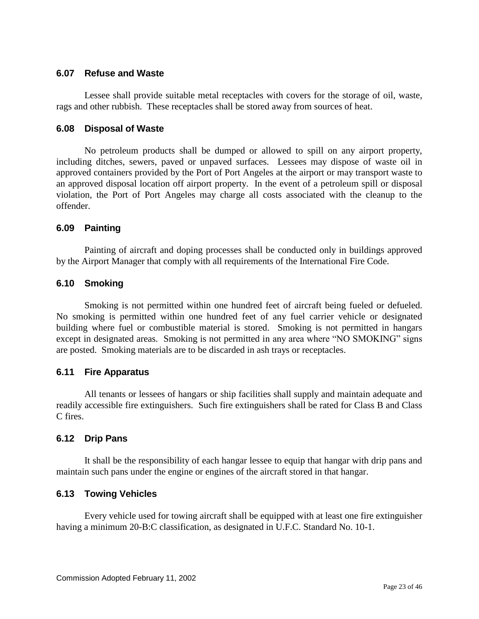## <span id="page-22-0"></span>**6.07 Refuse and Waste**

Lessee shall provide suitable metal receptacles with covers for the storage of oil, waste, rags and other rubbish. These receptacles shall be stored away from sources of heat.

#### <span id="page-22-1"></span>**6.08 Disposal of Waste**

No petroleum products shall be dumped or allowed to spill on any airport property, including ditches, sewers, paved or unpaved surfaces. Lessees may dispose of waste oil in approved containers provided by the Port of Port Angeles at the airport or may transport waste to an approved disposal location off airport property. In the event of a petroleum spill or disposal violation, the Port of Port Angeles may charge all costs associated with the cleanup to the offender.

## <span id="page-22-2"></span>**6.09 Painting**

Painting of aircraft and doping processes shall be conducted only in buildings approved by the Airport Manager that comply with all requirements of the International Fire Code.

## <span id="page-22-3"></span>**6.10 Smoking**

Smoking is not permitted within one hundred feet of aircraft being fueled or defueled. No smoking is permitted within one hundred feet of any fuel carrier vehicle or designated building where fuel or combustible material is stored. Smoking is not permitted in hangars except in designated areas. Smoking is not permitted in any area where "NO SMOKING" signs are posted. Smoking materials are to be discarded in ash trays or receptacles.

## <span id="page-22-4"></span>**6.11 Fire Apparatus**

All tenants or lessees of hangars or ship facilities shall supply and maintain adequate and readily accessible fire extinguishers. Such fire extinguishers shall be rated for Class B and Class C fires.

#### <span id="page-22-5"></span>**6.12 Drip Pans**

It shall be the responsibility of each hangar lessee to equip that hangar with drip pans and maintain such pans under the engine or engines of the aircraft stored in that hangar.

## <span id="page-22-6"></span>**6.13 Towing Vehicles**

Every vehicle used for towing aircraft shall be equipped with at least one fire extinguisher having a minimum 20-B:C classification, as designated in U.F.C. Standard No. 10-1.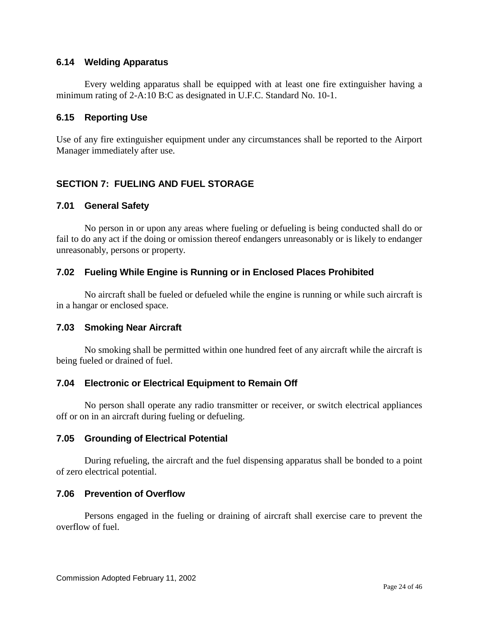## <span id="page-23-0"></span>**6.14 Welding Apparatus**

Every welding apparatus shall be equipped with at least one fire extinguisher having a minimum rating of 2-A:10 B:C as designated in U.F.C. Standard No. 10-1.

#### <span id="page-23-1"></span>**6.15 Reporting Use**

Use of any fire extinguisher equipment under any circumstances shall be reported to the Airport Manager immediately after use.

## <span id="page-23-2"></span>**SECTION 7: FUELING AND FUEL STORAGE**

#### <span id="page-23-3"></span>**7.01 General Safety**

No person in or upon any areas where fueling or defueling is being conducted shall do or fail to do any act if the doing or omission thereof endangers unreasonably or is likely to endanger unreasonably, persons or property.

## <span id="page-23-4"></span>**7.02 Fueling While Engine is Running or in Enclosed Places Prohibited**

No aircraft shall be fueled or defueled while the engine is running or while such aircraft is in a hangar or enclosed space.

#### <span id="page-23-5"></span>**7.03 Smoking Near Aircraft**

No smoking shall be permitted within one hundred feet of any aircraft while the aircraft is being fueled or drained of fuel.

## <span id="page-23-6"></span>**7.04 Electronic or Electrical Equipment to Remain Off**

No person shall operate any radio transmitter or receiver, or switch electrical appliances off or on in an aircraft during fueling or defueling.

#### <span id="page-23-7"></span>**7.05 Grounding of Electrical Potential**

During refueling, the aircraft and the fuel dispensing apparatus shall be bonded to a point of zero electrical potential.

#### <span id="page-23-8"></span>**7.06 Prevention of Overflow**

Persons engaged in the fueling or draining of aircraft shall exercise care to prevent the overflow of fuel.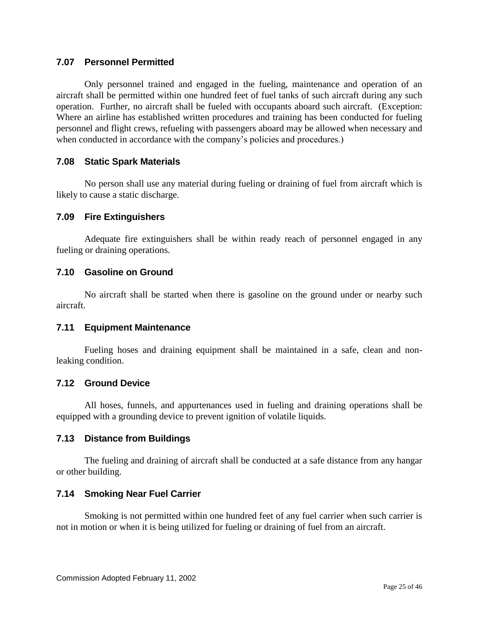## <span id="page-24-0"></span>**7.07 Personnel Permitted**

Only personnel trained and engaged in the fueling, maintenance and operation of an aircraft shall be permitted within one hundred feet of fuel tanks of such aircraft during any such operation. Further, no aircraft shall be fueled with occupants aboard such aircraft. (Exception: Where an airline has established written procedures and training has been conducted for fueling personnel and flight crews, refueling with passengers aboard may be allowed when necessary and when conducted in accordance with the company's policies and procedures.)

## <span id="page-24-1"></span>**7.08 Static Spark Materials**

No person shall use any material during fueling or draining of fuel from aircraft which is likely to cause a static discharge.

#### <span id="page-24-2"></span>**7.09 Fire Extinguishers**

Adequate fire extinguishers shall be within ready reach of personnel engaged in any fueling or draining operations.

## <span id="page-24-3"></span>**7.10 Gasoline on Ground**

No aircraft shall be started when there is gasoline on the ground under or nearby such aircraft.

#### <span id="page-24-4"></span>**7.11 Equipment Maintenance**

Fueling hoses and draining equipment shall be maintained in a safe, clean and nonleaking condition.

#### <span id="page-24-5"></span>**7.12 Ground Device**

All hoses, funnels, and appurtenances used in fueling and draining operations shall be equipped with a grounding device to prevent ignition of volatile liquids.

#### <span id="page-24-6"></span>**7.13 Distance from Buildings**

The fueling and draining of aircraft shall be conducted at a safe distance from any hangar or other building.

#### <span id="page-24-7"></span>**7.14 Smoking Near Fuel Carrier**

Smoking is not permitted within one hundred feet of any fuel carrier when such carrier is not in motion or when it is being utilized for fueling or draining of fuel from an aircraft.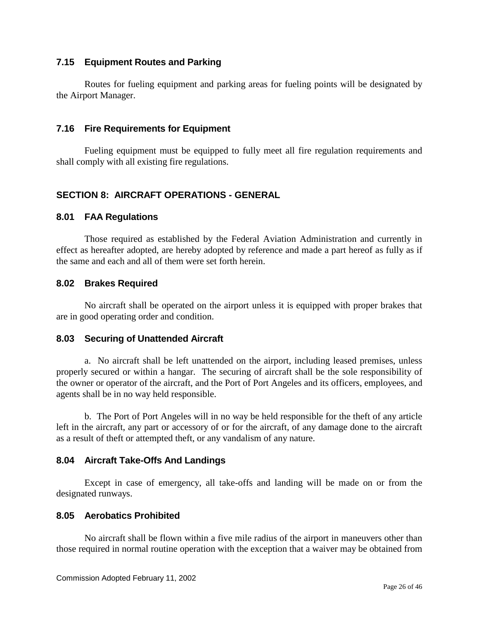## <span id="page-25-0"></span>**7.15 Equipment Routes and Parking**

Routes for fueling equipment and parking areas for fueling points will be designated by the Airport Manager.

#### <span id="page-25-1"></span>**7.16 Fire Requirements for Equipment**

Fueling equipment must be equipped to fully meet all fire regulation requirements and shall comply with all existing fire regulations.

## <span id="page-25-2"></span>**SECTION 8: AIRCRAFT OPERATIONS - GENERAL**

## <span id="page-25-3"></span>**8.01 FAA Regulations**

Those required as established by the Federal Aviation Administration and currently in effect as hereafter adopted, are hereby adopted by reference and made a part hereof as fully as if the same and each and all of them were set forth herein.

## <span id="page-25-4"></span>**8.02 Brakes Required**

No aircraft shall be operated on the airport unless it is equipped with proper brakes that are in good operating order and condition.

#### <span id="page-25-5"></span>**8.03 Securing of Unattended Aircraft**

a. No aircraft shall be left unattended on the airport, including leased premises, unless properly secured or within a hangar. The securing of aircraft shall be the sole responsibility of the owner or operator of the aircraft, and the Port of Port Angeles and its officers, employees, and agents shall be in no way held responsible.

b. The Port of Port Angeles will in no way be held responsible for the theft of any article left in the aircraft, any part or accessory of or for the aircraft, of any damage done to the aircraft as a result of theft or attempted theft, or any vandalism of any nature.

## <span id="page-25-6"></span>**8.04 Aircraft Take-Offs And Landings**

Except in case of emergency, all take-offs and landing will be made on or from the designated runways.

#### <span id="page-25-7"></span>**8.05 Aerobatics Prohibited**

No aircraft shall be flown within a five mile radius of the airport in maneuvers other than those required in normal routine operation with the exception that a waiver may be obtained from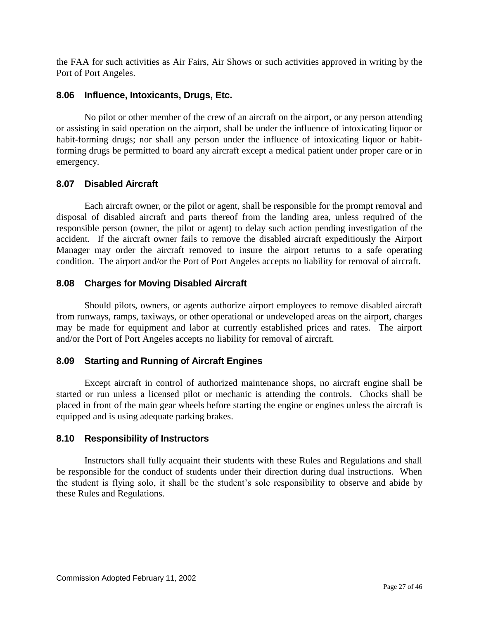the FAA for such activities as Air Fairs, Air Shows or such activities approved in writing by the Port of Port Angeles.

## <span id="page-26-0"></span>**8.06 Influence, Intoxicants, Drugs, Etc.**

No pilot or other member of the crew of an aircraft on the airport, or any person attending or assisting in said operation on the airport, shall be under the influence of intoxicating liquor or habit-forming drugs; nor shall any person under the influence of intoxicating liquor or habitforming drugs be permitted to board any aircraft except a medical patient under proper care or in emergency.

## <span id="page-26-1"></span>**8.07 Disabled Aircraft**

Each aircraft owner, or the pilot or agent, shall be responsible for the prompt removal and disposal of disabled aircraft and parts thereof from the landing area, unless required of the responsible person (owner, the pilot or agent) to delay such action pending investigation of the accident. If the aircraft owner fails to remove the disabled aircraft expeditiously the Airport Manager may order the aircraft removed to insure the airport returns to a safe operating condition. The airport and/or the Port of Port Angeles accepts no liability for removal of aircraft.

## <span id="page-26-2"></span>**8.08 Charges for Moving Disabled Aircraft**

Should pilots, owners, or agents authorize airport employees to remove disabled aircraft from runways, ramps, taxiways, or other operational or undeveloped areas on the airport, charges may be made for equipment and labor at currently established prices and rates. The airport and/or the Port of Port Angeles accepts no liability for removal of aircraft.

## <span id="page-26-3"></span>**8.09 Starting and Running of Aircraft Engines**

Except aircraft in control of authorized maintenance shops, no aircraft engine shall be started or run unless a licensed pilot or mechanic is attending the controls. Chocks shall be placed in front of the main gear wheels before starting the engine or engines unless the aircraft is equipped and is using adequate parking brakes.

#### <span id="page-26-4"></span>**8.10 Responsibility of Instructors**

Instructors shall fully acquaint their students with these Rules and Regulations and shall be responsible for the conduct of students under their direction during dual instructions. When the student is flying solo, it shall be the student's sole responsibility to observe and abide by these Rules and Regulations.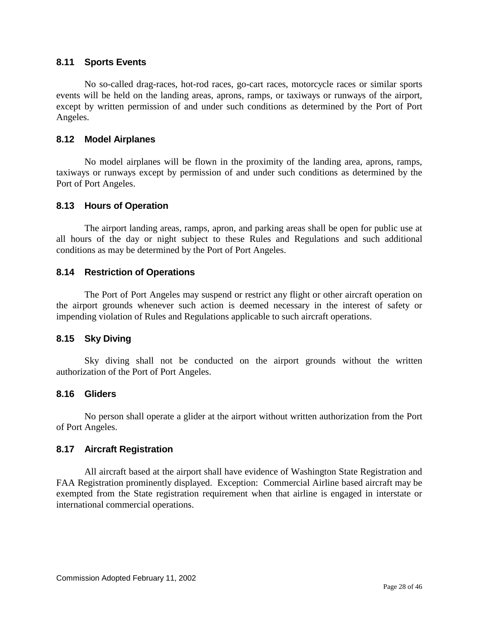## <span id="page-27-0"></span>**8.11 Sports Events**

No so-called drag-races, hot-rod races, go-cart races, motorcycle races or similar sports events will be held on the landing areas, aprons, ramps, or taxiways or runways of the airport, except by written permission of and under such conditions as determined by the Port of Port Angeles.

## <span id="page-27-1"></span>**8.12 Model Airplanes**

No model airplanes will be flown in the proximity of the landing area, aprons, ramps, taxiways or runways except by permission of and under such conditions as determined by the Port of Port Angeles.

## <span id="page-27-2"></span>**8.13 Hours of Operation**

The airport landing areas, ramps, apron, and parking areas shall be open for public use at all hours of the day or night subject to these Rules and Regulations and such additional conditions as may be determined by the Port of Port Angeles.

#### <span id="page-27-3"></span>**8.14 Restriction of Operations**

The Port of Port Angeles may suspend or restrict any flight or other aircraft operation on the airport grounds whenever such action is deemed necessary in the interest of safety or impending violation of Rules and Regulations applicable to such aircraft operations.

#### <span id="page-27-4"></span>**8.15 Sky Diving**

Sky diving shall not be conducted on the airport grounds without the written authorization of the Port of Port Angeles.

## <span id="page-27-5"></span>**8.16 Gliders**

No person shall operate a glider at the airport without written authorization from the Port of Port Angeles.

#### <span id="page-27-6"></span>**8.17 Aircraft Registration**

All aircraft based at the airport shall have evidence of Washington State Registration and FAA Registration prominently displayed. Exception: Commercial Airline based aircraft may be exempted from the State registration requirement when that airline is engaged in interstate or international commercial operations.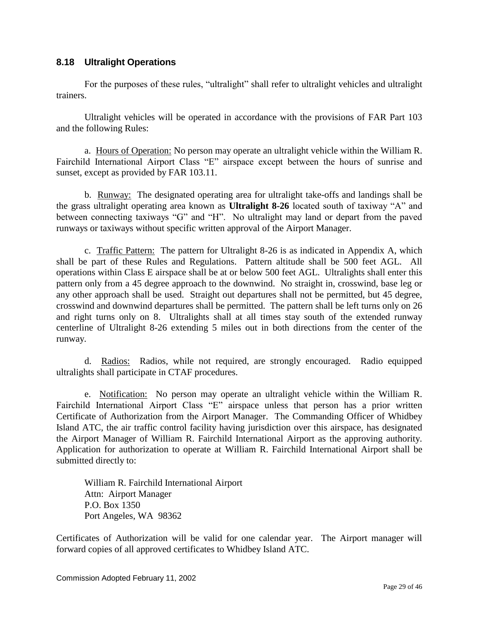## <span id="page-28-0"></span>**8.18 Ultralight Operations**

For the purposes of these rules, "ultralight" shall refer to ultralight vehicles and ultralight trainers.

Ultralight vehicles will be operated in accordance with the provisions of FAR Part 103 and the following Rules:

a. Hours of Operation: No person may operate an ultralight vehicle within the William R. Fairchild International Airport Class "E" airspace except between the hours of sunrise and sunset, except as provided by FAR 103.11.

b. Runway: The designated operating area for ultralight take-offs and landings shall be the grass ultralight operating area known as **Ultralight 8-26** located south of taxiway "A" and between connecting taxiways "G" and "H". No ultralight may land or depart from the paved runways or taxiways without specific written approval of the Airport Manager.

c. Traffic Pattern: The pattern for Ultralight 8-26 is as indicated in Appendix A, which shall be part of these Rules and Regulations. Pattern altitude shall be 500 feet AGL. All operations within Class E airspace shall be at or below 500 feet AGL. Ultralights shall enter this pattern only from a 45 degree approach to the downwind. No straight in, crosswind, base leg or any other approach shall be used. Straight out departures shall not be permitted, but 45 degree, crosswind and downwind departures shall be permitted. The pattern shall be left turns only on 26 and right turns only on 8. Ultralights shall at all times stay south of the extended runway centerline of Ultralight 8-26 extending 5 miles out in both directions from the center of the runway.

d. Radios: Radios, while not required, are strongly encouraged. Radio equipped ultralights shall participate in CTAF procedures.

e. Notification: No person may operate an ultralight vehicle within the William R. Fairchild International Airport Class "E" airspace unless that person has a prior written Certificate of Authorization from the Airport Manager. The Commanding Officer of Whidbey Island ATC, the air traffic control facility having jurisdiction over this airspace, has designated the Airport Manager of William R. Fairchild International Airport as the approving authority. Application for authorization to operate at William R. Fairchild International Airport shall be submitted directly to:

William R. Fairchild International Airport Attn: Airport Manager P.O. Box 1350 Port Angeles, WA 98362

Certificates of Authorization will be valid for one calendar year. The Airport manager will forward copies of all approved certificates to Whidbey Island ATC.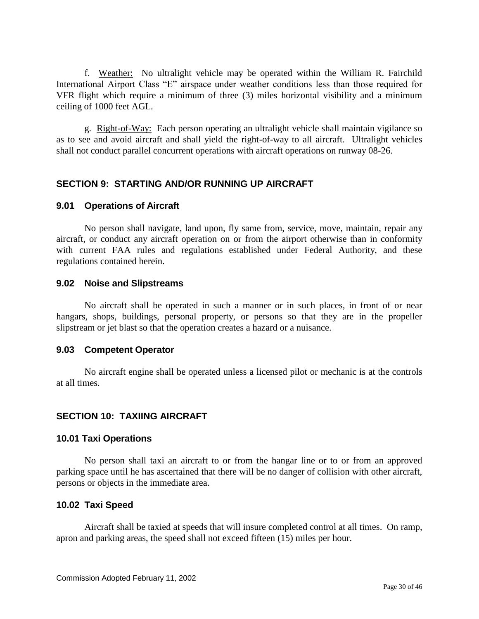f. Weather: No ultralight vehicle may be operated within the William R. Fairchild International Airport Class "E" airspace under weather conditions less than those required for VFR flight which require a minimum of three (3) miles horizontal visibility and a minimum ceiling of 1000 feet AGL.

g. Right-of-Way: Each person operating an ultralight vehicle shall maintain vigilance so as to see and avoid aircraft and shall yield the right-of-way to all aircraft. Ultralight vehicles shall not conduct parallel concurrent operations with aircraft operations on runway 08-26.

## <span id="page-29-0"></span>**SECTION 9: STARTING AND/OR RUNNING UP AIRCRAFT**

#### <span id="page-29-1"></span>**9.01 Operations of Aircraft**

No person shall navigate, land upon, fly same from, service, move, maintain, repair any aircraft, or conduct any aircraft operation on or from the airport otherwise than in conformity with current FAA rules and regulations established under Federal Authority, and these regulations contained herein.

#### <span id="page-29-2"></span>**9.02 Noise and Slipstreams**

No aircraft shall be operated in such a manner or in such places, in front of or near hangars, shops, buildings, personal property, or persons so that they are in the propeller slipstream or jet blast so that the operation creates a hazard or a nuisance.

#### <span id="page-29-3"></span>**9.03 Competent Operator**

No aircraft engine shall be operated unless a licensed pilot or mechanic is at the controls at all times.

#### <span id="page-29-4"></span>**SECTION 10: TAXIING AIRCRAFT**

#### <span id="page-29-5"></span>**10.01 Taxi Operations**

No person shall taxi an aircraft to or from the hangar line or to or from an approved parking space until he has ascertained that there will be no danger of collision with other aircraft, persons or objects in the immediate area.

#### <span id="page-29-6"></span>**10.02 Taxi Speed**

Aircraft shall be taxied at speeds that will insure completed control at all times. On ramp, apron and parking areas, the speed shall not exceed fifteen (15) miles per hour.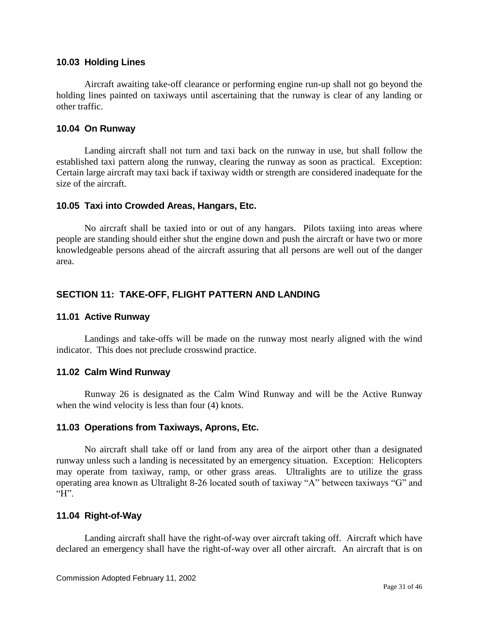#### <span id="page-30-0"></span>**10.03 Holding Lines**

Aircraft awaiting take-off clearance or performing engine run-up shall not go beyond the holding lines painted on taxiways until ascertaining that the runway is clear of any landing or other traffic.

#### <span id="page-30-1"></span>**10.04 On Runway**

Landing aircraft shall not turn and taxi back on the runway in use, but shall follow the established taxi pattern along the runway, clearing the runway as soon as practical. Exception: Certain large aircraft may taxi back if taxiway width or strength are considered inadequate for the size of the aircraft.

#### <span id="page-30-2"></span>**10.05 Taxi into Crowded Areas, Hangars, Etc.**

No aircraft shall be taxied into or out of any hangars. Pilots taxiing into areas where people are standing should either shut the engine down and push the aircraft or have two or more knowledgeable persons ahead of the aircraft assuring that all persons are well out of the danger area.

## <span id="page-30-3"></span>**SECTION 11: TAKE-OFF, FLIGHT PATTERN AND LANDING**

#### <span id="page-30-4"></span>**11.01 Active Runway**

Landings and take-offs will be made on the runway most nearly aligned with the wind indicator. This does not preclude crosswind practice.

#### <span id="page-30-5"></span>**11.02 Calm Wind Runway**

Runway 26 is designated as the Calm Wind Runway and will be the Active Runway when the wind velocity is less than four (4) knots.

#### <span id="page-30-6"></span>**11.03 Operations from Taxiways, Aprons, Etc.**

No aircraft shall take off or land from any area of the airport other than a designated runway unless such a landing is necessitated by an emergency situation. Exception: Helicopters may operate from taxiway, ramp, or other grass areas. Ultralights are to utilize the grass operating area known as Ultralight 8-26 located south of taxiway "A" between taxiways "G" and  $H$ "

#### <span id="page-30-7"></span>**11.04 Right-of-Way**

Landing aircraft shall have the right-of-way over aircraft taking off. Aircraft which have declared an emergency shall have the right-of-way over all other aircraft. An aircraft that is on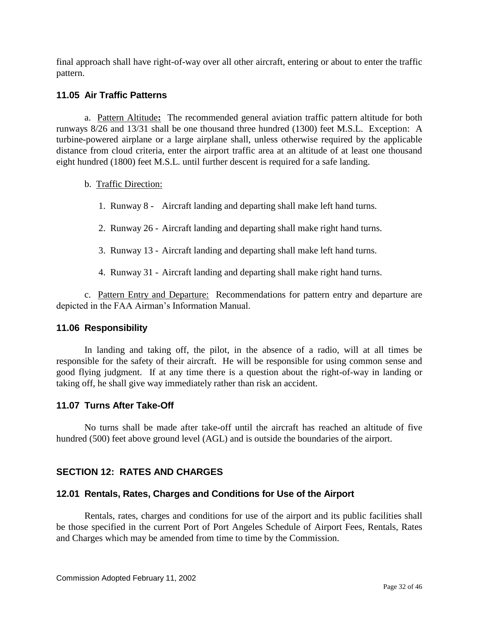final approach shall have right-of-way over all other aircraft, entering or about to enter the traffic pattern.

## <span id="page-31-0"></span>**11.05 Air Traffic Patterns**

a. Pattern Altitude**:** The recommended general aviation traffic pattern altitude for both runways 8/26 and 13/31 shall be one thousand three hundred (1300) feet M.S.L. Exception: A turbine-powered airplane or a large airplane shall, unless otherwise required by the applicable distance from cloud criteria, enter the airport traffic area at an altitude of at least one thousand eight hundred (1800) feet M.S.L. until further descent is required for a safe landing.

## b. Traffic Direction:

- 1. Runway 8 Aircraft landing and departing shall make left hand turns.
- 2. Runway 26 Aircraft landing and departing shall make right hand turns.
- 3. Runway 13 Aircraft landing and departing shall make left hand turns.
- 4. Runway 31 Aircraft landing and departing shall make right hand turns.

c. Pattern Entry and Departure: Recommendations for pattern entry and departure are depicted in the FAA Airman's Information Manual.

#### <span id="page-31-1"></span>**11.06 Responsibility**

In landing and taking off, the pilot, in the absence of a radio, will at all times be responsible for the safety of their aircraft. He will be responsible for using common sense and good flying judgment. If at any time there is a question about the right-of-way in landing or taking off, he shall give way immediately rather than risk an accident.

#### <span id="page-31-2"></span>**11.07 Turns After Take-Off**

No turns shall be made after take-off until the aircraft has reached an altitude of five hundred (500) feet above ground level (AGL) and is outside the boundaries of the airport.

## <span id="page-31-3"></span>**SECTION 12: RATES AND CHARGES**

#### <span id="page-31-4"></span>**12.01 Rentals, Rates, Charges and Conditions for Use of the Airport**

Rentals, rates, charges and conditions for use of the airport and its public facilities shall be those specified in the current Port of Port Angeles Schedule of Airport Fees, Rentals, Rates and Charges which may be amended from time to time by the Commission.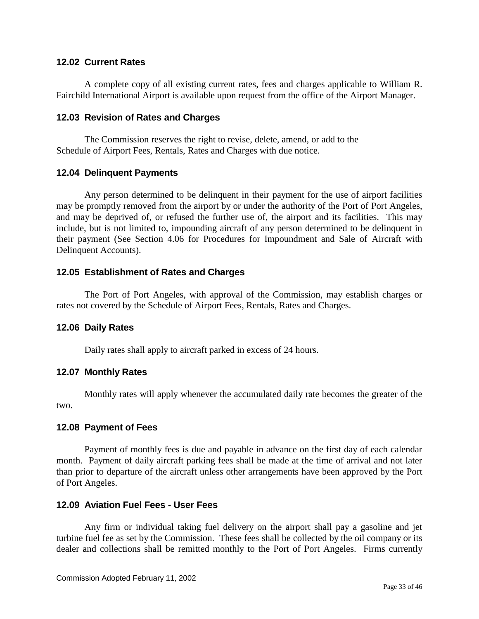#### <span id="page-32-0"></span>**12.02 Current Rates**

A complete copy of all existing current rates, fees and charges applicable to William R. Fairchild International Airport is available upon request from the office of the Airport Manager.

#### <span id="page-32-1"></span>**12.03 Revision of Rates and Charges**

The Commission reserves the right to revise, delete, amend, or add to the Schedule of Airport Fees, Rentals, Rates and Charges with due notice.

## <span id="page-32-2"></span>**12.04 Delinquent Payments**

Any person determined to be delinquent in their payment for the use of airport facilities may be promptly removed from the airport by or under the authority of the Port of Port Angeles, and may be deprived of, or refused the further use of, the airport and its facilities. This may include, but is not limited to, impounding aircraft of any person determined to be delinquent in their payment (See Section 4.06 for Procedures for Impoundment and Sale of Aircraft with Delinquent Accounts).

## <span id="page-32-3"></span>**12.05 Establishment of Rates and Charges**

The Port of Port Angeles, with approval of the Commission, may establish charges or rates not covered by the Schedule of Airport Fees, Rentals, Rates and Charges.

#### <span id="page-32-4"></span>**12.06 Daily Rates**

Daily rates shall apply to aircraft parked in excess of 24 hours.

#### <span id="page-32-5"></span>**12.07 Monthly Rates**

Monthly rates will apply whenever the accumulated daily rate becomes the greater of the two.

#### <span id="page-32-6"></span>**12.08 Payment of Fees**

Payment of monthly fees is due and payable in advance on the first day of each calendar month. Payment of daily aircraft parking fees shall be made at the time of arrival and not later than prior to departure of the aircraft unless other arrangements have been approved by the Port of Port Angeles.

#### <span id="page-32-7"></span>**12.09 Aviation Fuel Fees - User Fees**

Any firm or individual taking fuel delivery on the airport shall pay a gasoline and jet turbine fuel fee as set by the Commission. These fees shall be collected by the oil company or its dealer and collections shall be remitted monthly to the Port of Port Angeles. Firms currently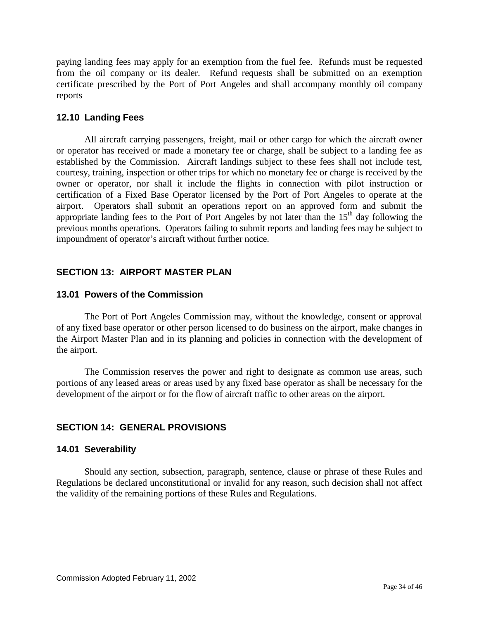paying landing fees may apply for an exemption from the fuel fee. Refunds must be requested from the oil company or its dealer. Refund requests shall be submitted on an exemption certificate prescribed by the Port of Port Angeles and shall accompany monthly oil company reports

## <span id="page-33-0"></span>**12.10 Landing Fees**

All aircraft carrying passengers, freight, mail or other cargo for which the aircraft owner or operator has received or made a monetary fee or charge, shall be subject to a landing fee as established by the Commission. Aircraft landings subject to these fees shall not include test, courtesy, training, inspection or other trips for which no monetary fee or charge is received by the owner or operator, nor shall it include the flights in connection with pilot instruction or certification of a Fixed Base Operator licensed by the Port of Port Angeles to operate at the airport.Operators shall submit an operations report on an approved form and submit the appropriate landing fees to the Port of Port Angeles by not later than the  $15<sup>th</sup>$  day following the previous months operations. Operators failing to submit reports and landing fees may be subject to impoundment of operator's aircraft without further notice.

## <span id="page-33-1"></span>**SECTION 13: AIRPORT MASTER PLAN**

## <span id="page-33-2"></span>**13.01 Powers of the Commission**

The Port of Port Angeles Commission may, without the knowledge, consent or approval of any fixed base operator or other person licensed to do business on the airport, make changes in the Airport Master Plan and in its planning and policies in connection with the development of the airport.

The Commission reserves the power and right to designate as common use areas, such portions of any leased areas or areas used by any fixed base operator as shall be necessary for the development of the airport or for the flow of aircraft traffic to other areas on the airport.

## <span id="page-33-3"></span>**SECTION 14: GENERAL PROVISIONS**

## <span id="page-33-4"></span>**14.01 Severability**

Should any section, subsection, paragraph, sentence, clause or phrase of these Rules and Regulations be declared unconstitutional or invalid for any reason, such decision shall not affect the validity of the remaining portions of these Rules and Regulations.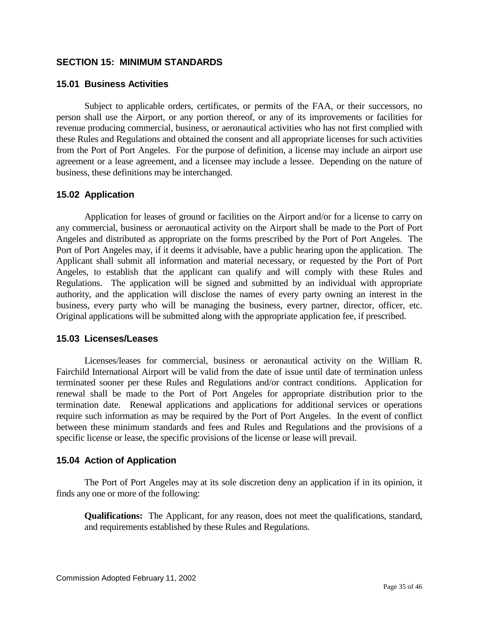#### <span id="page-34-0"></span>**SECTION 15: MINIMUM STANDARDS**

#### <span id="page-34-1"></span>**15.01 Business Activities**

Subject to applicable orders, certificates, or permits of the FAA, or their successors, no person shall use the Airport, or any portion thereof, or any of its improvements or facilities for revenue producing commercial, business, or aeronautical activities who has not first complied with these Rules and Regulations and obtained the consent and all appropriate licenses for such activities from the Port of Port Angeles. For the purpose of definition, a license may include an airport use agreement or a lease agreement, and a licensee may include a lessee. Depending on the nature of business, these definitions may be interchanged.

#### <span id="page-34-2"></span>**15.02 Application**

Application for leases of ground or facilities on the Airport and/or for a license to carry on any commercial, business or aeronautical activity on the Airport shall be made to the Port of Port Angeles and distributed as appropriate on the forms prescribed by the Port of Port Angeles. The Port of Port Angeles may, if it deems it advisable, have a public hearing upon the application. The Applicant shall submit all information and material necessary, or requested by the Port of Port Angeles, to establish that the applicant can qualify and will comply with these Rules and Regulations. The application will be signed and submitted by an individual with appropriate authority, and the application will disclose the names of every party owning an interest in the business, every party who will be managing the business, every partner, director, officer, etc. Original applications will be submitted along with the appropriate application fee, if prescribed.

#### <span id="page-34-3"></span>**15.03 Licenses/Leases**

Licenses/leases for commercial, business or aeronautical activity on the William R. Fairchild International Airport will be valid from the date of issue until date of termination unless terminated sooner per these Rules and Regulations and/or contract conditions. Application for renewal shall be made to the Port of Port Angeles for appropriate distribution prior to the termination date. Renewal applications and applications for additional services or operations require such information as may be required by the Port of Port Angeles. In the event of conflict between these minimum standards and fees and Rules and Regulations and the provisions of a specific license or lease, the specific provisions of the license or lease will prevail.

#### <span id="page-34-4"></span>**15.04 Action of Application**

The Port of Port Angeles may at its sole discretion deny an application if in its opinion, it finds any one or more of the following:

**Qualifications:** The Applicant, for any reason, does not meet the qualifications, standard, and requirements established by these Rules and Regulations.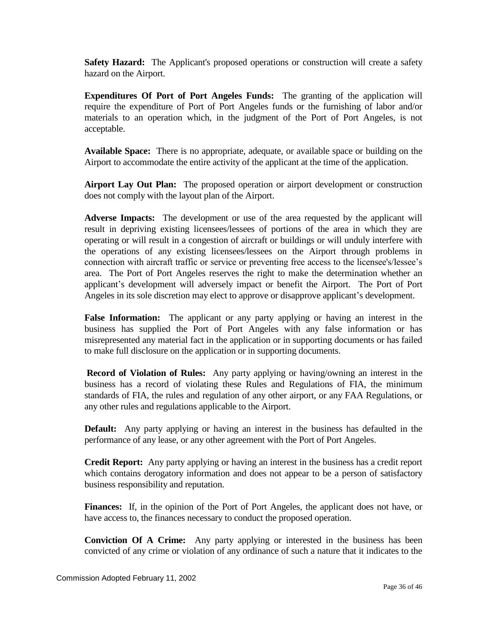**Safety Hazard:** The Applicant's proposed operations or construction will create a safety hazard on the Airport.

**Expenditures Of Port of Port Angeles Funds:** The granting of the application will require the expenditure of Port of Port Angeles funds or the furnishing of labor and/or materials to an operation which, in the judgment of the Port of Port Angeles, is not acceptable.

**Available Space:** There is no appropriate, adequate, or available space or building on the Airport to accommodate the entire activity of the applicant at the time of the application.

**Airport Lay Out Plan:** The proposed operation or airport development or construction does not comply with the layout plan of the Airport.

**Adverse Impacts:** The development or use of the area requested by the applicant will result in depriving existing licensees/lessees of portions of the area in which they are operating or will result in a congestion of aircraft or buildings or will unduly interfere with the operations of any existing licensees/lessees on the Airport through problems in connection with aircraft traffic or service or preventing free access to the licensee's/lessee's area. The Port of Port Angeles reserves the right to make the determination whether an applicant's development will adversely impact or benefit the Airport. The Port of Port Angeles in its sole discretion may elect to approve or disapprove applicant's development.

**False Information:** The applicant or any party applying or having an interest in the business has supplied the Port of Port Angeles with any false information or has misrepresented any material fact in the application or in supporting documents or has failed to make full disclosure on the application or in supporting documents.

**Record of Violation of Rules:** Any party applying or having/owning an interest in the business has a record of violating these Rules and Regulations of FIA, the minimum standards of FIA, the rules and regulation of any other airport, or any FAA Regulations, or any other rules and regulations applicable to the Airport.

**Default:** Any party applying or having an interest in the business has defaulted in the performance of any lease, or any other agreement with the Port of Port Angeles.

**Credit Report:** Any party applying or having an interest in the business has a credit report which contains derogatory information and does not appear to be a person of satisfactory business responsibility and reputation.

Finances: If, in the opinion of the Port of Port Angeles, the applicant does not have, or have access to, the finances necessary to conduct the proposed operation.

**Conviction Of A Crime:** Any party applying or interested in the business has been convicted of any crime or violation of any ordinance of such a nature that it indicates to the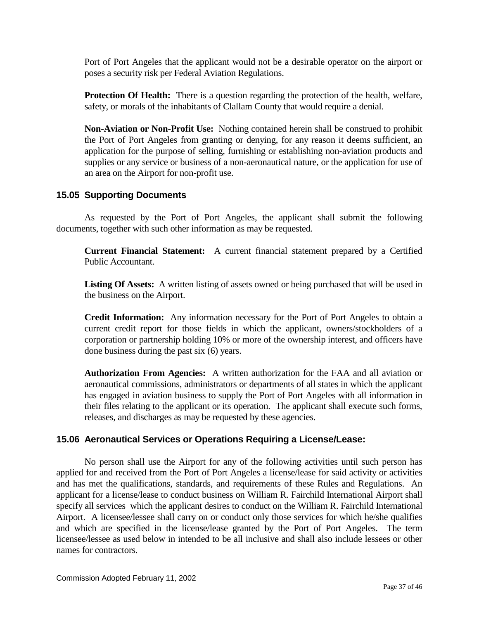Port of Port Angeles that the applicant would not be a desirable operator on the airport or poses a security risk per Federal Aviation Regulations.

**Protection Of Health:** There is a question regarding the protection of the health, welfare, safety, or morals of the inhabitants of Clallam County that would require a denial.

**Non-Aviation or Non-Profit Use:** Nothing contained herein shall be construed to prohibit the Port of Port Angeles from granting or denying, for any reason it deems sufficient, an application for the purpose of selling, furnishing or establishing non-aviation products and supplies or any service or business of a non-aeronautical nature, or the application for use of an area on the Airport for non-profit use.

## <span id="page-36-0"></span>**15.05 Supporting Documents**

As requested by the Port of Port Angeles, the applicant shall submit the following documents, together with such other information as may be requested.

**Current Financial Statement:** A current financial statement prepared by a Certified Public Accountant.

**Listing Of Assets:** A written listing of assets owned or being purchased that will be used in the business on the Airport.

**Credit Information:** Any information necessary for the Port of Port Angeles to obtain a current credit report for those fields in which the applicant, owners/stockholders of a corporation or partnership holding 10% or more of the ownership interest, and officers have done business during the past six (6) years.

**Authorization From Agencies:** A written authorization for the FAA and all aviation or aeronautical commissions, administrators or departments of all states in which the applicant has engaged in aviation business to supply the Port of Port Angeles with all information in their files relating to the applicant or its operation. The applicant shall execute such forms, releases, and discharges as may be requested by these agencies.

#### <span id="page-36-1"></span>**15.06 Aeronautical Services or Operations Requiring a License/Lease:**

No person shall use the Airport for any of the following activities until such person has applied for and received from the Port of Port Angeles a license/lease for said activity or activities and has met the qualifications, standards, and requirements of these Rules and Regulations. An applicant for a license/lease to conduct business on William R. Fairchild International Airport shall specify all services which the applicant desires to conduct on the William R. Fairchild International Airport. A licensee/lessee shall carry on or conduct only those services for which he/she qualifies and which are specified in the license/lease granted by the Port of Port Angeles. The term licensee/lessee as used below in intended to be all inclusive and shall also include lessees or other names for contractors.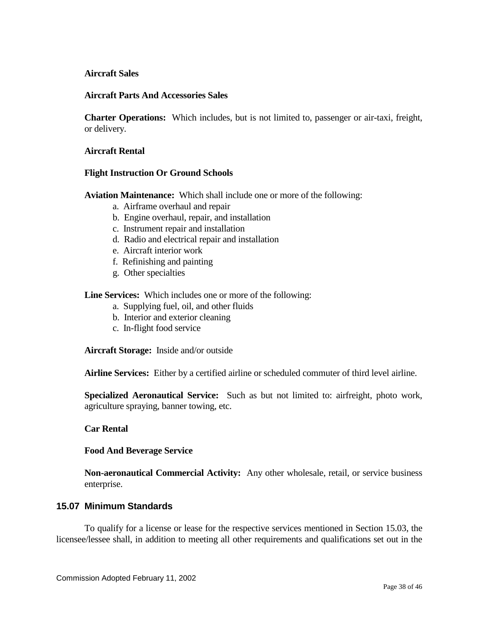#### **Aircraft Sales**

#### **Aircraft Parts And Accessories Sales**

**Charter Operations:** Which includes, but is not limited to, passenger or air-taxi, freight, or delivery.

#### **Aircraft Rental**

#### **Flight Instruction Or Ground Schools**

**Aviation Maintenance:** Which shall include one or more of the following:

- a. Airframe overhaul and repair
- b. Engine overhaul, repair, and installation
- c. Instrument repair and installation
- d. Radio and electrical repair and installation
- e. Aircraft interior work
- f. Refinishing and painting
- g. Other specialties

**Line Services:** Which includes one or more of the following:

- a. Supplying fuel, oil, and other fluids
- b. Interior and exterior cleaning
- c. In-flight food service

**Aircraft Storage:** Inside and/or outside

**Airline Services:** Either by a certified airline or scheduled commuter of third level airline.

**Specialized Aeronautical Service:** Such as but not limited to: airfreight, photo work, agriculture spraying, banner towing, etc.

#### **Car Rental**

#### **Food And Beverage Service**

**Non-aeronautical Commercial Activity:** Any other wholesale, retail, or service business enterprise.

#### <span id="page-37-0"></span>**15.07 Minimum Standards**

To qualify for a license or lease for the respective services mentioned in Section 15.03, the licensee/lessee shall, in addition to meeting all other requirements and qualifications set out in the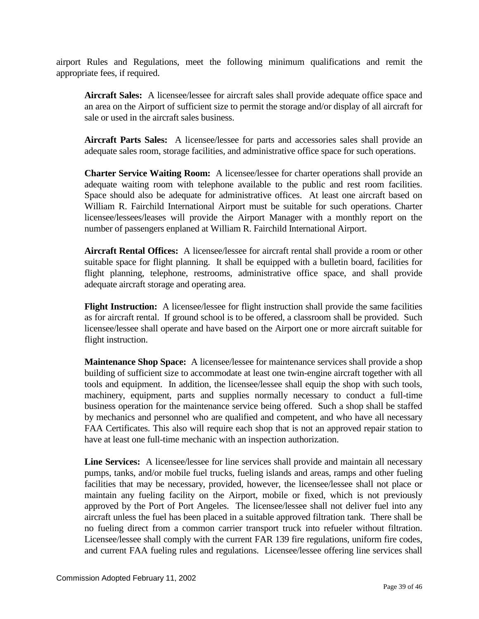airport Rules and Regulations, meet the following minimum qualifications and remit the appropriate fees, if required.

**Aircraft Sales:** A licensee/lessee for aircraft sales shall provide adequate office space and an area on the Airport of sufficient size to permit the storage and/or display of all aircraft for sale or used in the aircraft sales business.

**Aircraft Parts Sales:** A licensee/lessee for parts and accessories sales shall provide an adequate sales room, storage facilities, and administrative office space for such operations.

**Charter Service Waiting Room:** A licensee/lessee for charter operations shall provide an adequate waiting room with telephone available to the public and rest room facilities. Space should also be adequate for administrative offices. At least one aircraft based on William R. Fairchild International Airport must be suitable for such operations. Charter licensee/lessees/leases will provide the Airport Manager with a monthly report on the number of passengers enplaned at William R. Fairchild International Airport.

**Aircraft Rental Offices:** A licensee/lessee for aircraft rental shall provide a room or other suitable space for flight planning. It shall be equipped with a bulletin board, facilities for flight planning, telephone, restrooms, administrative office space, and shall provide adequate aircraft storage and operating area.

**Flight Instruction:** A licensee/lessee for flight instruction shall provide the same facilities as for aircraft rental. If ground school is to be offered, a classroom shall be provided. Such licensee/lessee shall operate and have based on the Airport one or more aircraft suitable for flight instruction.

**Maintenance Shop Space:** A licensee/lessee for maintenance services shall provide a shop building of sufficient size to accommodate at least one twin-engine aircraft together with all tools and equipment. In addition, the licensee/lessee shall equip the shop with such tools, machinery, equipment, parts and supplies normally necessary to conduct a full-time business operation for the maintenance service being offered. Such a shop shall be staffed by mechanics and personnel who are qualified and competent, and who have all necessary FAA Certificates. This also will require each shop that is not an approved repair station to have at least one full-time mechanic with an inspection authorization.

**Line Services:** A licensee/lessee for line services shall provide and maintain all necessary pumps, tanks, and/or mobile fuel trucks, fueling islands and areas, ramps and other fueling facilities that may be necessary, provided, however, the licensee/lessee shall not place or maintain any fueling facility on the Airport, mobile or fixed, which is not previously approved by the Port of Port Angeles. The licensee/lessee shall not deliver fuel into any aircraft unless the fuel has been placed in a suitable approved filtration tank. There shall be no fueling direct from a common carrier transport truck into refueler without filtration. Licensee/lessee shall comply with the current FAR 139 fire regulations, uniform fire codes, and current FAA fueling rules and regulations. Licensee/lessee offering line services shall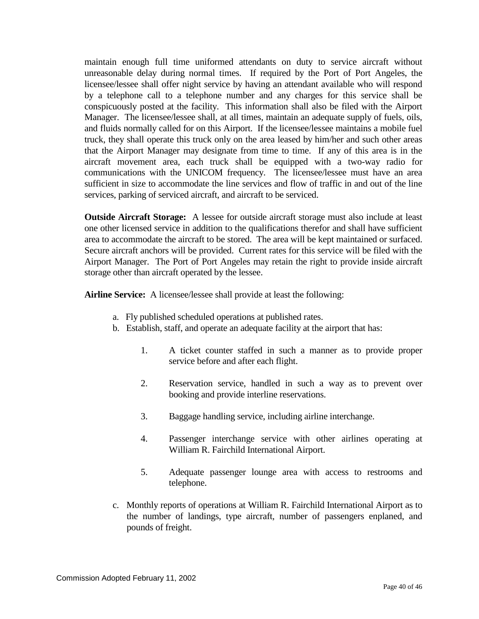maintain enough full time uniformed attendants on duty to service aircraft without unreasonable delay during normal times. If required by the Port of Port Angeles, the licensee/lessee shall offer night service by having an attendant available who will respond by a telephone call to a telephone number and any charges for this service shall be conspicuously posted at the facility. This information shall also be filed with the Airport Manager. The licensee/lessee shall, at all times, maintain an adequate supply of fuels, oils, and fluids normally called for on this Airport. If the licensee/lessee maintains a mobile fuel truck, they shall operate this truck only on the area leased by him/her and such other areas that the Airport Manager may designate from time to time. If any of this area is in the aircraft movement area, each truck shall be equipped with a two-way radio for communications with the UNICOM frequency. The licensee/lessee must have an area sufficient in size to accommodate the line services and flow of traffic in and out of the line services, parking of serviced aircraft, and aircraft to be serviced.

**Outside Aircraft Storage:** A lessee for outside aircraft storage must also include at least one other licensed service in addition to the qualifications therefor and shall have sufficient area to accommodate the aircraft to be stored. The area will be kept maintained or surfaced. Secure aircraft anchors will be provided. Current rates for this service will be filed with the Airport Manager. The Port of Port Angeles may retain the right to provide inside aircraft storage other than aircraft operated by the lessee.

**Airline Service:** A licensee/lessee shall provide at least the following:

- a. Fly published scheduled operations at published rates.
- b. Establish, staff, and operate an adequate facility at the airport that has:
	- 1. A ticket counter staffed in such a manner as to provide proper service before and after each flight.
	- 2. Reservation service, handled in such a way as to prevent over booking and provide interline reservations.
	- 3. Baggage handling service, including airline interchange.
	- 4. Passenger interchange service with other airlines operating at William R. Fairchild International Airport.
	- 5. Adequate passenger lounge area with access to restrooms and telephone.
- c. Monthly reports of operations at William R. Fairchild International Airport as to the number of landings, type aircraft, number of passengers enplaned, and pounds of freight.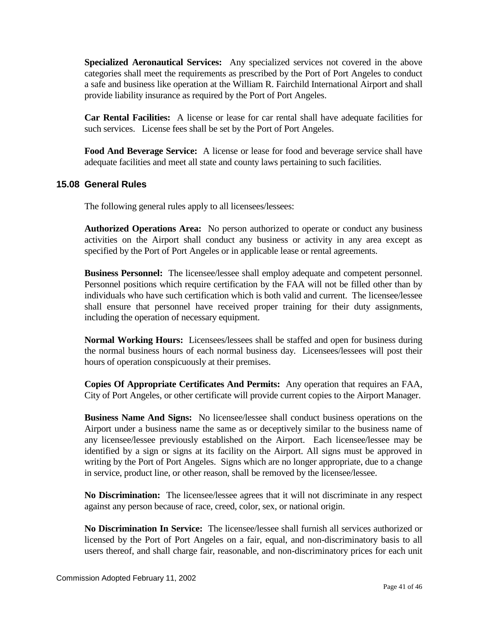**Specialized Aeronautical Services:** Any specialized services not covered in the above categories shall meet the requirements as prescribed by the Port of Port Angeles to conduct a safe and business like operation at the William R. Fairchild International Airport and shall provide liability insurance as required by the Port of Port Angeles.

**Car Rental Facilities:** A license or lease for car rental shall have adequate facilities for such services. License fees shall be set by the Port of Port Angeles.

**Food And Beverage Service:** A license or lease for food and beverage service shall have adequate facilities and meet all state and county laws pertaining to such facilities.

## <span id="page-40-0"></span>**15.08 General Rules**

The following general rules apply to all licensees/lessees:

**Authorized Operations Area:** No person authorized to operate or conduct any business activities on the Airport shall conduct any business or activity in any area except as specified by the Port of Port Angeles or in applicable lease or rental agreements.

**Business Personnel:** The licensee/lessee shall employ adequate and competent personnel. Personnel positions which require certification by the FAA will not be filled other than by individuals who have such certification which is both valid and current. The licensee/lessee shall ensure that personnel have received proper training for their duty assignments, including the operation of necessary equipment.

**Normal Working Hours:** Licensees/lessees shall be staffed and open for business during the normal business hours of each normal business day. Licensees/lessees will post their hours of operation conspicuously at their premises.

**Copies Of Appropriate Certificates And Permits:** Any operation that requires an FAA, City of Port Angeles, or other certificate will provide current copies to the Airport Manager.

**Business Name And Signs:** No licensee/lessee shall conduct business operations on the Airport under a business name the same as or deceptively similar to the business name of any licensee/lessee previously established on the Airport. Each licensee/lessee may be identified by a sign or signs at its facility on the Airport. All signs must be approved in writing by the Port of Port Angeles. Signs which are no longer appropriate, due to a change in service, product line, or other reason, shall be removed by the licensee/lessee.

**No Discrimination:** The licensee/lessee agrees that it will not discriminate in any respect against any person because of race, creed, color, sex, or national origin.

**No Discrimination In Service:** The licensee/lessee shall furnish all services authorized or licensed by the Port of Port Angeles on a fair, equal, and non-discriminatory basis to all users thereof, and shall charge fair, reasonable, and non-discriminatory prices for each unit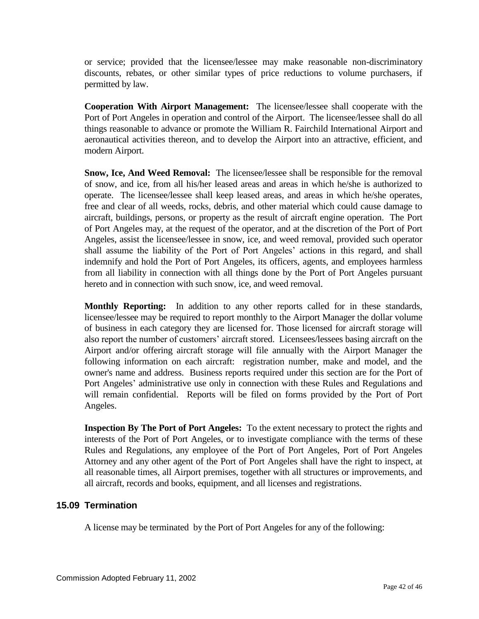or service; provided that the licensee/lessee may make reasonable non-discriminatory discounts, rebates, or other similar types of price reductions to volume purchasers, if permitted by law.

**Cooperation With Airport Management:** The licensee/lessee shall cooperate with the Port of Port Angeles in operation and control of the Airport. The licensee/lessee shall do all things reasonable to advance or promote the William R. Fairchild International Airport and aeronautical activities thereon, and to develop the Airport into an attractive, efficient, and modern Airport.

**Snow, Ice, And Weed Removal:** The licensee/lessee shall be responsible for the removal of snow, and ice, from all his/her leased areas and areas in which he/she is authorized to operate. The licensee/lessee shall keep leased areas, and areas in which he/she operates, free and clear of all weeds, rocks, debris, and other material which could cause damage to aircraft, buildings, persons, or property as the result of aircraft engine operation. The Port of Port Angeles may, at the request of the operator, and at the discretion of the Port of Port Angeles, assist the licensee/lessee in snow, ice, and weed removal, provided such operator shall assume the liability of the Port of Port Angeles' actions in this regard, and shall indemnify and hold the Port of Port Angeles, its officers, agents, and employees harmless from all liability in connection with all things done by the Port of Port Angeles pursuant hereto and in connection with such snow, ice, and weed removal.

**Monthly Reporting:** In addition to any other reports called for in these standards, licensee/lessee may be required to report monthly to the Airport Manager the dollar volume of business in each category they are licensed for. Those licensed for aircraft storage will also report the number of customers' aircraft stored. Licensees/lessees basing aircraft on the Airport and/or offering aircraft storage will file annually with the Airport Manager the following information on each aircraft: registration number, make and model, and the owner's name and address. Business reports required under this section are for the Port of Port Angeles' administrative use only in connection with these Rules and Regulations and will remain confidential. Reports will be filed on forms provided by the Port of Port Angeles.

**Inspection By The Port of Port Angeles:** To the extent necessary to protect the rights and interests of the Port of Port Angeles, or to investigate compliance with the terms of these Rules and Regulations, any employee of the Port of Port Angeles, Port of Port Angeles Attorney and any other agent of the Port of Port Angeles shall have the right to inspect, at all reasonable times, all Airport premises, together with all structures or improvements, and all aircraft, records and books, equipment, and all licenses and registrations.

## <span id="page-41-0"></span>**15.09 Termination**

A license may be terminated by the Port of Port Angeles for any of the following: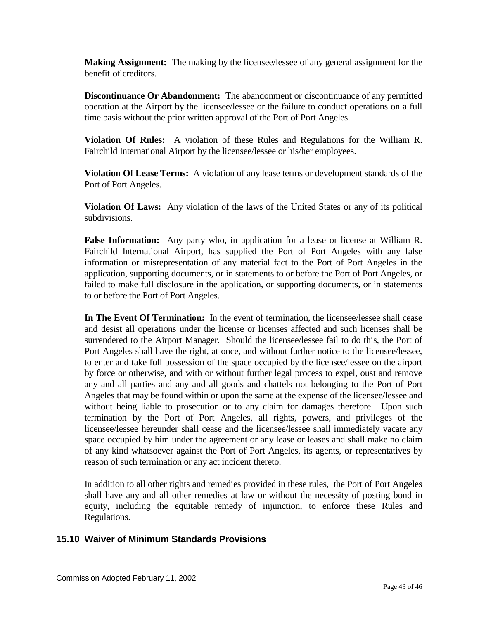**Making Assignment:** The making by the licensee/lessee of any general assignment for the benefit of creditors.

**Discontinuance Or Abandonment:** The abandonment or discontinuance of any permitted operation at the Airport by the licensee/lessee or the failure to conduct operations on a full time basis without the prior written approval of the Port of Port Angeles.

**Violation Of Rules:** A violation of these Rules and Regulations for the William R. Fairchild International Airport by the licensee/lessee or his/her employees.

**Violation Of Lease Terms:** A violation of any lease terms or development standards of the Port of Port Angeles.

**Violation Of Laws:** Any violation of the laws of the United States or any of its political subdivisions.

**False Information:** Any party who, in application for a lease or license at William R. Fairchild International Airport, has supplied the Port of Port Angeles with any false information or misrepresentation of any material fact to the Port of Port Angeles in the application, supporting documents, or in statements to or before the Port of Port Angeles, or failed to make full disclosure in the application, or supporting documents, or in statements to or before the Port of Port Angeles.

In The Event Of Termination: In the event of termination, the licensee/lessee shall cease and desist all operations under the license or licenses affected and such licenses shall be surrendered to the Airport Manager. Should the licensee/lessee fail to do this, the Port of Port Angeles shall have the right, at once, and without further notice to the licensee/lessee, to enter and take full possession of the space occupied by the licensee/lessee on the airport by force or otherwise, and with or without further legal process to expel, oust and remove any and all parties and any and all goods and chattels not belonging to the Port of Port Angeles that may be found within or upon the same at the expense of the licensee/lessee and without being liable to prosecution or to any claim for damages therefore. Upon such termination by the Port of Port Angeles, all rights, powers, and privileges of the licensee/lessee hereunder shall cease and the licensee/lessee shall immediately vacate any space occupied by him under the agreement or any lease or leases and shall make no claim of any kind whatsoever against the Port of Port Angeles, its agents, or representatives by reason of such termination or any act incident thereto.

In addition to all other rights and remedies provided in these rules, the Port of Port Angeles shall have any and all other remedies at law or without the necessity of posting bond in equity, including the equitable remedy of injunction, to enforce these Rules and Regulations.

## <span id="page-42-0"></span>**15.10 Waiver of Minimum Standards Provisions**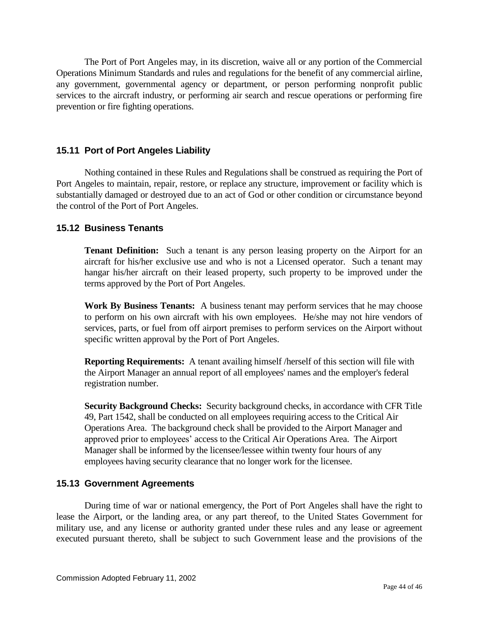The Port of Port Angeles may, in its discretion, waive all or any portion of the Commercial Operations Minimum Standards and rules and regulations for the benefit of any commercial airline, any government, governmental agency or department, or person performing nonprofit public services to the aircraft industry, or performing air search and rescue operations or performing fire prevention or fire fighting operations.

## <span id="page-43-0"></span>**15.11 Port of Port Angeles Liability**

Nothing contained in these Rules and Regulations shall be construed as requiring the Port of Port Angeles to maintain, repair, restore, or replace any structure, improvement or facility which is substantially damaged or destroyed due to an act of God or other condition or circumstance beyond the control of the Port of Port Angeles.

## <span id="page-43-1"></span>**15.12 Business Tenants**

**Tenant Definition:** Such a tenant is any person leasing property on the Airport for an aircraft for his/her exclusive use and who is not a Licensed operator. Such a tenant may hangar his/her aircraft on their leased property, such property to be improved under the terms approved by the Port of Port Angeles.

**Work By Business Tenants:** A business tenant may perform services that he may choose to perform on his own aircraft with his own employees. He/she may not hire vendors of services, parts, or fuel from off airport premises to perform services on the Airport without specific written approval by the Port of Port Angeles.

**Reporting Requirements:** A tenant availing himself /herself of this section will file with the Airport Manager an annual report of all employees' names and the employer's federal registration number.

**Security Background Checks:** Security background checks, in accordance with CFR Title 49, Part 1542, shall be conducted on all employees requiring access to the Critical Air Operations Area. The background check shall be provided to the Airport Manager and approved prior to employees' access to the Critical Air Operations Area. The Airport Manager shall be informed by the licensee/lessee within twenty four hours of any employees having security clearance that no longer work for the licensee.

#### <span id="page-43-2"></span>**15.13 Government Agreements**

During time of war or national emergency, the Port of Port Angeles shall have the right to lease the Airport, or the landing area, or any part thereof, to the United States Government for military use, and any license or authority granted under these rules and any lease or agreement executed pursuant thereto, shall be subject to such Government lease and the provisions of the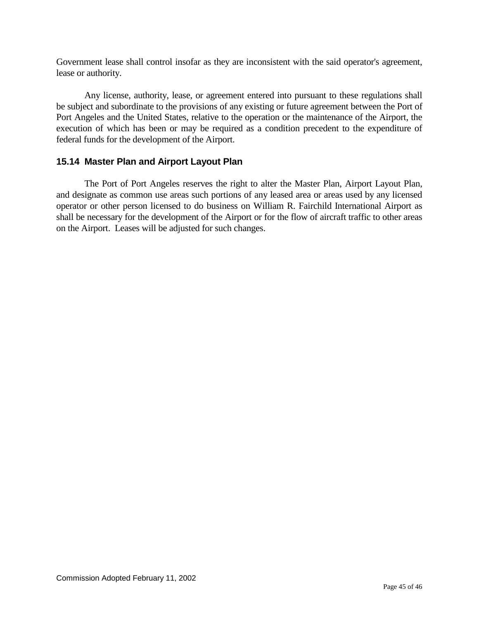Government lease shall control insofar as they are inconsistent with the said operator's agreement, lease or authority.

Any license, authority, lease, or agreement entered into pursuant to these regulations shall be subject and subordinate to the provisions of any existing or future agreement between the Port of Port Angeles and the United States, relative to the operation or the maintenance of the Airport, the execution of which has been or may be required as a condition precedent to the expenditure of federal funds for the development of the Airport.

## <span id="page-44-0"></span>**15.14 Master Plan and Airport Layout Plan**

The Port of Port Angeles reserves the right to alter the Master Plan, Airport Layout Plan, and designate as common use areas such portions of any leased area or areas used by any licensed operator or other person licensed to do business on William R. Fairchild International Airport as shall be necessary for the development of the Airport or for the flow of aircraft traffic to other areas on the Airport. Leases will be adjusted for such changes.